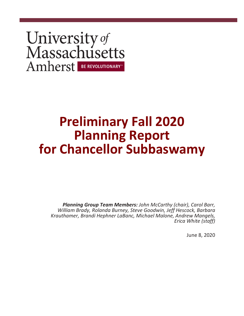# University of<br>Massachusetts Amherst BE REVOLUTIONARY

# **Preliminary Fall 2020 Planning Report for Chancellor Subbaswamy**

*Planning Group Team Members: John McCarthy (chair), Carol Barr, William Brady, Rolanda Burney, Steve Goodwin, Jeff Hescock, Barbara Krauthamer, Brandi Hephner LaBanc, Michael Malone, Andrew Mangels, Erica White (staff)*

June 8, 2020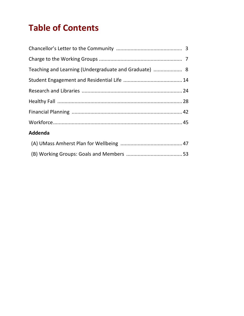# **Table of Contents**

| Teaching and Learning (Undergraduate and Graduate)  8 |  |
|-------------------------------------------------------|--|
|                                                       |  |
|                                                       |  |
|                                                       |  |
|                                                       |  |
|                                                       |  |
| Addenda                                               |  |
|                                                       |  |

(B) Working Groups: Goals and Members ....................................... 53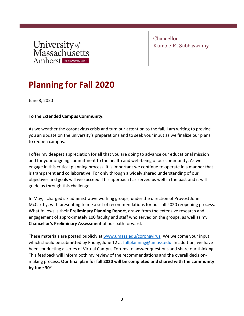

Chancellor Kumble R. Subbaswamy

# **Planning for Fall 2020**

June 8, 2020

#### **To the Extended Campus Community:**

As we weather the coronavirus crisis and turn our attention to the fall, I am writing to provide you an update on the university's preparations and to seek your input as we finalize our plans to reopen campus.

I offer my deepest appreciation for all that you are doing to advance our educational mission and for your ongoing commitment to the health and well-being of our community. As we engage in this critical planning process, it is important we continue to operate in a manner that is transparent and collaborative. For only through a widely shared understanding of our objectives and goals will we succeed. This approach has served us well in the past and it will guide us through this challenge.

In May, I charged six administrative working groups, under the direction of Provost John McCarthy, with presenting to me a set of recommendations for our fall 2020 reopening process. What follows is their **Preliminary Planning Report**, drawn from the extensive research and engagement of approximately 100 faculty and staff who served on the groups, as well as my **Chancellor's Preliminary Assessment** of our path forward.

These materials are posted publicly at www.umass.edu/coronavirus. We welcome your input, which should be submitted by Friday, June 12 at fallplanning@umass.edu. In addition, we have been conducting a series of Virtual Campus Forums to answer questions and share our thinking. This feedback will inform both my review of the recommendations and the overall decisionmaking process. **Our final plan for fall 2020 will be completed and shared with the community by June 30th.**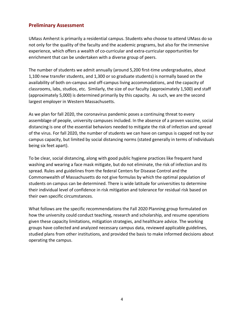#### **Preliminary Assessment**

UMass Amherst is primarily a residential campus. Students who choose to attend UMass do so not only for the quality of the faculty and the academic programs, but also for the immersive experience, which offers a wealth of co-curricular and extra-curricular opportunities for enrichment that can be undertaken with a diverse group of peers.

The number of students we admit annually (around 5,200 first-time undergraduates, about 1,100 new transfer students, and 1,300 or so graduate students) is normally based on the availability of both on-campus and off-campus living accommodations, and the capacity of classrooms, labs, studios, etc. Similarly, the size of our faculty (approximately 1,500) and staff (approximately 5,000) is determined primarily by this capacity. As such, we are the second largest employer in Western Massachusetts.

As we plan for fall 2020, the coronavirus pandemic poses a continuing threat to every assemblage of people, university campuses included. In the absence of a proven vaccine, social distancing is one of the essential behaviors needed to mitigate the risk of infection and spread of the virus. For fall 2020, the number of students we can have on campus is capped not by our campus capacity, but limited by social distancing norms (stated generally in terms of individuals being six feet apart).

To be clear, social distancing, along with good public hygiene practices like frequent hand washing and wearing a face mask mitigate, but do not eliminate, the risk of infection and its spread. Rules and guidelines from the federal Centers for Disease Control and the Commonwealth of Massachusetts do not give formulas by which the optimal population of students on campus can be determined. There is wide latitude for universities to determine their individual level of confidence in risk mitigation and tolerance for residual risk based on their own specific circumstances.

What follows are the specific recommendations the Fall 2020 Planning group formulated on how the university could conduct teaching, research and scholarship, and resume operations given these capacity limitations, mitigation strategies, and healthcare advice. The working groups have collected and analyzed necessary campus data, reviewed applicable guidelines, studied plans from other institutions, and provided the basis to make informed decisions about operating the campus.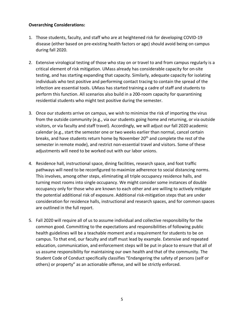#### **Overarching Considerations:**

- 1. Those students, faculty, and staff who are at heightened risk for developing COVID-19 disease (either based on pre-existing health factors or age) should avoid being on campus during fall 2020.
- 2. Extensive virological testing of those who stay on or travel to and from campus regularly is a critical element of risk mitigation. UMass already has considerable capacity for on-site testing, and has starting expanding that capacity. Similarly, adequate capacity for isolating individuals who test positive and performing contact tracing to contain the spread of the infection are essential tools. UMass has started training a cadre of staff and students to perform this function. All scenarios also build in a 200-room capacity for quarantining residential students who might test positive during the semester.
- 3. Once our students arrive on campus, we wish to minimize the risk of importing the virus from the outside community (e.g., via our students going home and returning, or via outside visitors, or via faculty and staff travel). Accordingly, we will adjust our fall 2020 academic calendar (e.g., start the semester one or two weeks earlier than normal, cancel certain breaks, and have students return home by November 20<sup>th</sup> and complete the rest of the semester in remote mode), and restrict non-essential travel and visitors. Some of these adjustments will need to be worked out with our labor unions.
- 4. Residence hall, instructional space, dining facilities, research space, and foot traffic pathways will need to be reconfigured to maximize adherence to social distancing norms. This involves, among other steps, eliminating all triple occupancy residence halls, and turning most rooms into single occupancy. We might consider some instances of double occupancy only for those who are known to each other and are willing to actively mitigate the potential additional risk of exposure. Additional risk-mitigation steps that are under consideration for residence halls, instructional and research spaces, and for common spaces are outlined in the full report.
- 5. Fall 2020 will require all of us to assume individual and collective responsibility for the common good. Committing to the expectations and responsibilities of following public health guidelines will be a teachable moment and a requirement for students to be on campus. To that end, our faculty and staff must lead by example. Extensive and repeated education, communication, and enforcement steps will be put in place to ensure that all of us assume responsibility for maintaining our own health and that of the community. The Student Code of Conduct specifically classifies "Endangering the safety of persons (self or others) or property" as an actionable offense, and will be strictly enforced.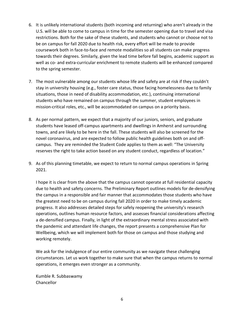- 6. It is unlikely international students (both incoming and returning) who aren't already in the U.S. will be able to come to campus in time for the semester opening due to travel and visa restrictions. Both for the sake of these students, and students who cannot or choose not to be on campus for fall 2020 due to health risk, every effort will be made to provide coursework both in face-to-face and remote modalities so all students can make progress towards their degrees. Similarly, given the lead time before fall begins, academic support as well as co- and extra-curricular enrichment to remote students will be enhanced compared to the spring semester.
- 7. The most vulnerable among our students whose life and safety are at risk if they couldn't stay in university housing (e.g., foster care status, those facing homelessness due to family situations, those in need of disability accommodation, etc.), continuing international students who have remained on campus through the summer, student employees in mission-critical roles, etc., will be accommodated on campus on a priority basis.
- 8. As per normal pattern, we expect that a majority of our juniors, seniors, and graduate students have leased off-campus apartments and dwellings in Amherst and surrounding towns, and are likely to be here in the fall. These students will also be screened for the novel coronavirus, and are expected to follow public health guidelines both on and offcampus. They are reminded the Student Code applies to them as well: "The University reserves the right to take action based on any student conduct, regardless of location."
- 9. As of this planning timetable, we expect to return to normal campus operations in Spring 2021.

I hope it is clear from the above that the campus cannot operate at full residential capacity due to health and safety concerns. The Preliminary Report outlines models for de-densifying the campus in a responsible and fair manner that accommodates those students who have the greatest need to be on campus during fall 2020 in order to make timely academic progress. It also addresses detailed steps for safely reopening the university's research operations, outlines human resource factors, and assesses financial considerations affecting a de-densified campus. Finally, in light of the extraordinary mental stress associated with the pandemic and attendant life changes, the report presents a comprehensive Plan for Wellbeing, which we will implement both for those on campus and those studying and working remotely.

We ask for the indulgence of our entire community as we navigate these challenging circumstances. Let us work together to make sure that when the campus returns to normal operations, it emerges even stronger as a community.

Kumble R. Subbaswamy Chancellor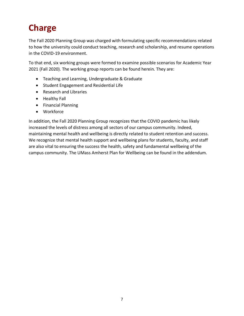# **Charge**

The Fall 2020 Planning Group was charged with formulating specific recommendations related to how the university could conduct teaching, research and scholarship, and resume operations in the COVID-19 environment.

To that end, six working groups were formed to examine possible scenarios for Academic Year 2021 (Fall 2020). The working group reports can be found herein. They are:

- Teaching and Learning, Undergraduate & Graduate
- Student Engagement and Residential Life
- Research and Libraries
- Healthy Fall
- Financial Planning
- Workforce

In addition, the Fall 2020 Planning Group recognizes that the COVID pandemic has likely increased the levels of distress among all sectors of our campus community. Indeed, maintaining mental health and wellbeing is directly related to student retention and success. We recognize that mental health support and wellbeing plans for students, faculty, and staff are also vital to ensuring the success the health, safety and fundamental wellbeing of the campus community. The UMass Amherst Plan for Wellbeing can be found in the addendum.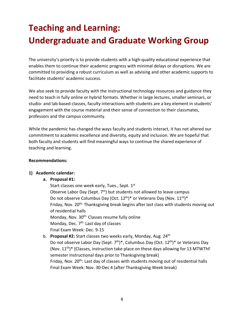# **Teaching and Learning: Undergraduate and Graduate Working Group**

The university's priority is to provide students with a high-quality educational experience that enables them to continue their academic progress with minimal delays or disruptions. We are committed to providing a robust curriculum as well as advising and other academic supports to facilitate students' academic success.

We also seek to provide faculty with the instructional technology resources and guidance they need to teach in fully online or hybrid formats. Whether in large lectures, smaller seminars, or studio- and lab-based classes, faculty interactions with students are a key element in students' engagement with the course material and their sense of connection to their classmates, professors and the campus community.

While the pandemic has changed the ways faculty and students interact, it has not altered our commitment to academic excellence and diversity, equity and inclusion. We are hopeful that both faculty and students will find meaningful ways to continue the shared experience of teaching and learning.

#### **Recommendations:**

#### **1) Academic calendar:**

#### **a. Proposal #1:**

Start classes one week early, Tues., Sept. 1st Observe Labor Day (Sept.  $7<sup>th</sup>$ ) but students not allowed to leave campus Do not observe Columbus Day (Oct.  $12^{th}$ )\* or Veterans Day (Nov.  $11^{th}$ )\* Friday, Nov. 20th: Thanksgiving break begins after last class with students moving out of residential halls Monday, Nov. 30<sup>th:</sup> Classes resume fully online Monday, Dec.  $7<sup>th</sup>$  Last day of classes Final Exam Week: Dec. 9-15

#### b. **Proposal #2:** Start classes two weeks early, Monday, Aug. 24<sup>th</sup>

Do not observe Labor Day (Sept.  $7<sup>th</sup>$ )\*, Columbus Day (Oct. 12<sup>th</sup>)\* or Veterans Day (Nov.  $11^{th}$ )\* [Classes, instruction take place on these days allowing for 13 MTWThF semester instructional days prior to Thanksgiving break] Friday, Nov. 20<sup>th</sup>: Last day of classes with students moving out of residential halls Final Exam Week: Nov. 30-Dec 4 (after Thanksgiving Week break)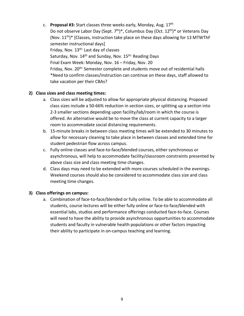c. **Proposal #3:** Start classes three weeks early, Monday, Aug. 17th Do not observe Labor Day (Sept.  $7<sup>th</sup>$ )\*, Columbus Day (Oct. 12<sup>th</sup>)\* or Veterans Day (Nov.  $11^{th}$ )\* [Classes, instruction take place on these days allowing for 13 MTWThF semester instructional days] Friday, Nov. 13<sup>th:</sup> Last day of classes Saturday, Nov. 14<sup>th</sup> and Sunday, Nov. 15<sup>th:</sup> Reading Days Final Exam Week: Monday, Nov. 16 – Friday, Nov. 20 Friday, Nov. 20<sup>th:</sup> Semester complete and students move out of residential halls \*Need to confirm classes/instruction can continue on these days, staff allowed to take vacation per their CBAs?

#### **2) Class sizes and class meeting times:**

- a. Class sizes will be adjusted to allow for appropriate physical distancing. Proposed class sizes include a 50-66% reduction in section sizes, or splitting up a section into 2-3 smaller sections depending upon facility/lab/room in which the course is offered. An alternative would be to move the class at current capacity to a larger room to accommodate social distancing requirements.
- b. 15-minute breaks in between class meeting times will be extended to 30 minutes to allow for necessary cleaning to take place in between classes and extended time for student pedestrian flow across campus.
- c. Fully online classes and face-to-face/blended courses, either synchronous or asynchronous, will help to accommodate facility/classroom constraints presented by above class size and class meeting time changes.
- d. Class days may need to be extended with more courses scheduled in the evenings. Weekend courses should also be considered to accommodate class size and class meeting time changes.

#### **3) Class offerings on campus:**

a. Combination of face-to-face/blended or fully online. To be able to accommodate all students, course lectures will be either fully online or face-to-face/blended with essential labs, studios and performance offerings conducted face-to-face. Courses will need to have the ability to provide asynchronous opportunities to accommodate students and faculty in vulnerable health populations or other factors impacting their ability to participate in on-campus teaching and learning.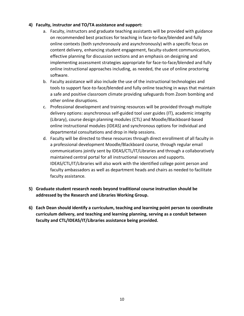#### **4) Faculty, instructor and TO/TA assistance and support:**

- a. Faculty, instructors and graduate teaching assistants will be provided with guidance on recommended best practices for teaching in face-to-face/blended and fully online contexts (both synchronously and asynchronously) with a specific focus on content delivery, enhancing student engagement, faculty-student communication, effective planning for discussion sections and an emphasis on designing and implementing assessment strategies appropriate for face-to-face/blended and fully online instructional approaches including, as needed, the use of online proctoring software.
- b. Faculty assistance will also include the use of the instructional technologies and tools to support face-to-face/blended and fully online teaching in ways that maintain a safe and positive classroom climate providing safeguards from Zoom bombing and other online disruptions.
- c. Professional development and training resources will be provided through multiple delivery options: asynchronous self-guided tool user guides (IT), academic integrity (Library), course design planning modules (CTL) and Moodle/Blackboard-based online instructional modules (IDEAS) and synchronous options for individual and departmental consultations and drop in Help sessions.
- d. Faculty will be directed to these resources through direct enrollment of all faculty in a professional development Moodle/Blackboard course, through regular email communications jointly sent by IDEAS/CTL/IT/Libraries and through a collaboratively maintained central portal for all instructional resources and supports. IDEAS/CTL/IT/Libraries will also work with the identified college point person and faculty ambassadors as well as department heads and chairs as needed to facilitate faculty assistance.
- **5) Graduate student research needs beyond traditional course instruction should be addressed by the Research and Libraries Working Group.**
- **6) Each Dean should identify a curriculum, teaching and learning point person to coordinate curriculum delivery, and teaching and learning planning, serving as a conduit between faculty and CTL/IDEAS/IT/Libraries assistance being provided.**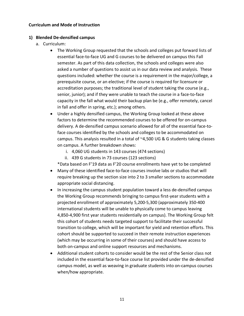#### **Curriculum and Mode of Instruction**

#### **1) Blended De-densified campus**

- a. Curriculum:
	- The Working Group requested that the schools and colleges put forward lists of essential face-to-face UG and G courses to be delivered on campus this Fall semester. As part of this data collection, the schools and colleges were also asked a number of questions to assist us in our data review and analysis. These questions included: whether the course is a requirement in the major/college, a prerequisite course, or an elective; if the course is required for licensure or accreditation purposes; the traditional level of student taking the course (e.g., senior, junior); and if they were unable to teach the course in a face-to-face capacity in the fall what would their backup plan be (e.g., offer remotely, cancel in fall and offer in spring, etc.); among others.
	- Under a highly densified campus, the Working Group looked at these above factors to determine the recommended courses to be offered for on-campus delivery. A de-densified campus scenario allowed for all of the essential face-toface courses identified by the schools and colleges to be accommodated on campus. This analysis resulted in a total of ~4,500 UG & G students taking classes on campus. A further breakdown shows:
		- i. 4,060 UG students in 143 courses (474 sections)
		- ii. 439 G students in 73 courses (123 sections)
		- \*Data based on F'19 data as F'20 course enrollments have yet to be completed
	- Many of these identified face-to-face courses involve labs or studios that will require breaking up the section size into 2 to 3 smaller sections to accommodate appropriate social distancing.
	- In increasing the campus student population toward a less de-densified campus the Working Group recommends bringing to campus first-year students with a projected enrollment of approximately 5,200-5,300 (approximately 350-400 international students will be unable to physically come to campus leaving 4,850-4,900 first year students residentially on campus). The Working Group felt this cohort of students needs targeted support to facilitate their successful transition to college, which will be important for yield and retention efforts. This cohort should be supported to succeed in their remote instruction experiences (which may be occurring in some of their courses) and should have access to both on-campus and online support resources and mechanisms.
	- Additional student cohorts to consider would be the rest of the Senior class not included in the essential face-to-face course list provided under the de-densified campus model, as well as weaving in graduate students into on-campus courses when/how appropriate.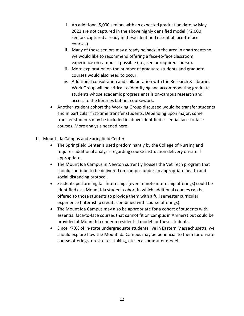- i. An additional 5,000 seniors with an expected graduation date by May 2021 are not captured in the above highly densified model (~2,000 seniors captured already in these identified essential face-to-face courses).
- ii. Many of these seniors may already be back in the area in apartments so we would like to recommend offering a face-to-face classroom experience on campus if possible (i.e., senior required course).
- iii. More exploration on the number of graduate students and graduate courses would also need to occur.
- iv. Additional consultation and collaboration with the Research & Libraries Work Group will be critical to identifying and accommodating graduate students whose academic progress entails on-campus research and access to the libraries but not coursework.
- Another student cohort the Working Group discussed would be transfer students and in particular first-time transfer students. Depending upon major, some transfer students may be included in above identified essential face-to-face courses. More analysis needed here.
- b. Mount Ida Campus and Springfield Center
	- The Springfield Center is used predominantly by the College of Nursing and requires additional analysis regarding course instruction delivery on-site if appropriate.
	- The Mount Ida Campus in Newton currently houses the Vet Tech program that should continue to be delivered on-campus under an appropriate health and social distancing protocol.
	- Students performing fall internships (even remote internship offerings) could be identified as a Mount Ida student cohort in which additional courses can be offered to those students to provide them with a full semester curricular experience (internship credits combined with course offerings).
	- The Mount Ida Campus may also be appropriate for a cohort of students with essential face-to-face courses that cannot fit on campus in Amherst but could be provided at Mount Ida under a residential model for these students.
	- Since ~70% of in-state undergraduate students live in Eastern Massachusetts, we should explore how the Mount Ida Campus may be beneficial to them for on-site course offerings, on-site test taking, etc. in a commuter model.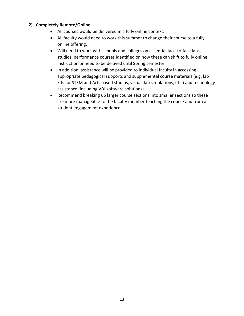#### **2) Completely Remote/Online**

- All courses would be delivered in a fully online context.
- All faculty would need to work this summer to change their course to a fully online offering.
- Will need to work with schools and colleges on essential face-to-face labs, studios, performance courses identified on how these can shift to fully online instruction or need to be delayed until Spring semester.
- In addition, assistance will be provided to individual faculty in accessing appropriate pedagogical supports and supplemental course materials (e.g. lab kits for STEM and Arts based studios, virtual lab simulations, etc.) and technology assistance (including VDI software solutions).
- Recommend breaking up larger course sections into smaller sections so these are more manageable to the faculty member teaching the course and from a student engagement experience.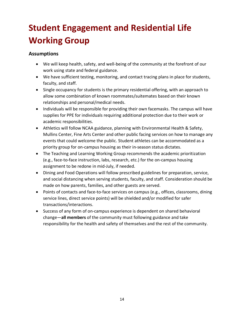# **Student Engagement and Residential Life Working Group**

#### **Assumptions**

- We will keep health, safety, and well-being of the community at the forefront of our work using state and federal guidance.
- We have sufficient testing, monitoring, and contact tracing plans in place for students, faculty, and staff.
- Single occupancy for students is the primary residential offering, with an approach to allow some combination of known roommates/suitemates based on their known relationships and personal/medical needs.
- Individuals will be responsible for providing their own facemasks. The campus will have supplies for PPE for individuals requiring additional protection due to their work or academic responsibilities.
- Athletics will follow NCAA guidance, planning with Environmental Health & Safety, Mullins Center, Fine Arts Center and other public facing services on how to manage any events that could welcome the public. Student athletes can be accommodated as a priority group for on-campus housing as their in-season status dictates.
- The Teaching and Learning Working Group recommends the academic prioritization (e.g., face-to-face instruction, labs, research, etc.) for the on-campus housing assignment to be redone in mid-July, if needed.
- Dining and Food Operations will follow prescribed guidelines for preparation, service, and social distancing when serving students, faculty, and staff. Consideration should be made on how parents, families, and other guests are served.
- Points of contacts and face-to-face services on campus (e.g., offices, classrooms, dining service lines, direct service points) will be shielded and/or modified for safer transactions/interactions.
- Success of any form of on-campus experience is dependent on shared behavioral change—**all members** of the community must following guidance and take responsibility for the health and safety of themselves and the rest of the community.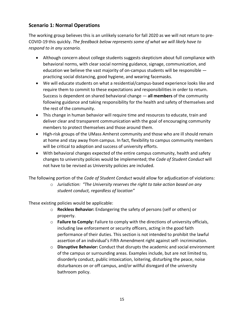#### **Scenario 1: Normal Operations**

The working group believes this is an unlikely scenario for fall 2020 as we will not return to pre-COVID-19 this quickly. *The feedback below represents some of what we will likely have to respond to in any scenario.*

- Although concern about college students suggests skepticism about full compliance with behavioral norms, with clear social norming guidance, signage, communication, and education we believe the vast majority of on-campus students will be responsible practicing social distancing, good hygiene, and wearing facemasks.
- We will educate students on what a residential/campus-based experience looks like and require them to commit to these expectations and responsibilities in order to return. Success is dependent on shared behavioral change — **all members** of the community following guidance and taking responsibility for the health and safety of themselves and the rest of the community.
- This change in human behavior will require time and resources to educate, train and deliver clear and transparent communication with the goal of encouraging community members to protect themselves and those around them.
- High-risk groups of the UMass Amherst community and those who are ill should remain at home and stay away from campus. In fact, flexibility to campus community members will be critical to adoption and success of university efforts.
- With behavioral changes expected of the entire campus community, health and safety changes to university policies would be implemented; the *Code of Student Conduct* will not have to be revised as University policies are included.

The following portion of the *Code of Student Conduct* would allow for adjudication of violations:

o *Jurisdiction: "The University reserves the right to take action based on any student conduct, regardless of location"*

These existing policies would be applicable:

- o **Reckless Behavior:** Endangering the safety of persons (self or others) or property.
- o **Failure to Comply:** Failure to comply with the directions of university officials, including law enforcement or security officers, acting in the good faith performance of their duties. This section is not intended to prohibit the lawful assertion of an individual's Fifth Amendment right against self- incrimination.
- o **Disruptive Behavior:** Conduct that disrupts the academic and social environment of the campus or surrounding areas. Examples include, but are not limited to, disorderly conduct, public intoxication, loitering, disturbing the peace, noise disturbances on or off campus, and/or willful disregard of the university bathroom policy.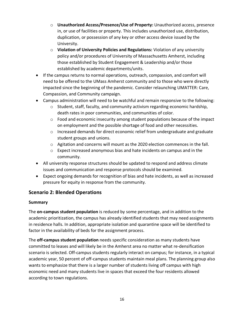- o **Unauthorized Access/Presence/Use of Property:** Unauthorized access, presence in, or use of facilities or property. This includes unauthorized use, distribution, duplication, or possession of any key or other access device issued by the University.
- o **Violation of University Policies and Regulations:** Violation of any university policy and/or procedures of University of Massachusetts Amherst, including those established by Student Engagement & Leadership and/or those established by academic departments/units.
- If the campus returns to normal operations, outreach, compassion, and comfort will need to be offered to the UMass Amherst community and to those who were directly impacted since the beginning of the pandemic. Consider relaunching UMATTER: Care, Compassion, and Community campaign.
- Campus administration will need to be watchful and remain responsive to the following:
	- $\circ$  Student, staff, faculty, and community activism regarding economic hardship, death rates in poor communities, and communities of color.
	- $\circ$  Food and economic insecurity among student populations because of the impact on employment and the possible shortage of food and other necessities.
	- o Increased demands for direct economic relief from undergraduate and graduate student groups and unions.
	- o Agitation and concerns will mount as the 2020 election commences in the fall.
	- $\circ$  Expect increased anonymous bias and hate incidents on campus and in the community.
- All university response structures should be updated to respond and address climate issues and communication and response protocols should be examined.
- Expect ongoing demands for recognition of bias and hate incidents, as well as increased pressure for equity in response from the community.

#### **Scenario 2: Blended Operations**

#### **Summary**

The **on-campus student population** is reduced by some percentage, and in addition to the academic prioritization, the campus has already identified students that may need assignments in residence halls. In addition, appropriate isolation and quarantine space will be identified to factor in the availability of beds for the assignment process.

The **off-campus student population** needs specific consideration as many students have committed to leases and will likely be in the Amherst area no matter what re-densification scenario is selected. Off-campus students regularly interact on campus; for instance, in a typical academic year, 50 percent of off-campus students maintain meal plans. The planning group also wants to emphasize that there is a larger number of students living off campus with high economic need and many students live in spaces that exceed the four residents allowed according to town regulations.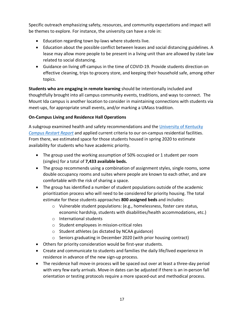Specific outreach emphasizing safety, resources, and community expectations and impact will be themes to explore. For instance, the university can have a role in:

- Education regarding town by-laws where students live.
- Education about the possible conflict between leases and social distancing guidelines. A lease may allow more people to be present in a living unit than are allowed by state law related to social distancing.
- Guidance on living off-campus in the time of COVID-19. Provide students direction on effective cleaning, trips to grocery store, and keeping their household safe, among other topics.

**Students who are engaging in remote learning** should be intentionally included and thoughtfully brought into all campus community events, traditions, and ways to connect. The Mount Ida campus is another location to consider in maintaining connections with students via meet-ups, for appropriate small events, and/or marking a UMass tradition.

#### **On-Campus Living and Residence Hall Operations**

A subgroup examined health and safety recommendations and the University of Kentucky *Campus Restart Report* and applied current criteria to our on-campus residential facilities. From there, we estimated space for those students housed in spring 2020 to estimate availability for students who have academic priority.

- The group used the working assumption of 50% occupied or 1 student per room (singles) for a total of **7,433 available beds.**
- The group recommends using a combination of assignment styles, single rooms, some double occupancy rooms and suites where people are known to each other, and are comfortable with the risk of sharing a space.
- The group has identified a number of student populations outside of the academic prioritization process who will need to be considered for priority housing. The total estimate for these students approaches **800 assigned beds** and includes:
	- o Vulnerable student populations: (e.g., homelessness, foster care status, economic hardship, students with disabilities/health accommodations, etc.)
	- o International students
	- o Student employees in mission-critical roles
	- o Student athletes (as dictated by NCAA guidance)
	- o Seniors graduating in December 2020 (with prior housing contract)
- Others for priority consideration would be first-year students.
- Create and communicate to students and families the daily life/lived experience in residence in advance of the new sign-up process.
- The residence hall move-in process will be spaced out over at least a three-day period with very few early arrivals. Move-in dates can be adjusted if there is an in-person fall orientation or testing protocols require a more spaced-out and methodical process.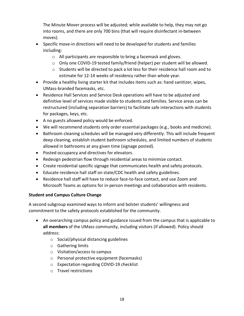The Minute Mover process will be adjusted; while available to help, they may not go into rooms, and there are only 700 bins (that will require disinfectant in-between moves).

- Specific move-in directions will need to be developed for students and families including:
	- o All participants are responsible to bring a facemask and gloves.
	- $\circ$  Only one COVID-19 tested family/friend (helper) per student will be allowed.
	- $\circ$  Students will be directed to pack a lot less for their residence hall room and to estimate for 12-14 weeks of residency rather than whole year.
- Provide a healthy living starter kit that includes items such as: hand sanitizer, wipes, UMass-branded facemasks, etc.
- Residence Hall Services and Service Desk operations will have to be adjusted and definitive level of services made visible to students and families. Service areas can be restructured (including separation barriers) to facilitate safe interactions with students for packages, keys, etc.
- A no guests allowed policy would be enforced.
- We will recommend students only order essential packages (e.g., books and medicine).
- Bathroom cleaning schedules will be managed very differently. This will include frequent deep cleaning, establish student bathroom schedules, and limited numbers of students allowed in bathrooms at any given time (signage posted).
- Posted occupancy and directives for elevators.
- Redesign pedestrian flow through residential areas to minimize contact.
- Create residential specific signage that communicates health and safety protocols.
- Educate residence hall staff on state/CDC health and safety guidelines.
- Residence hall staff will have to reduce face-to-face contact, and use Zoom and Microsoft Teams as options for in-person meetings and collaboration with residents.

#### **Student and Campus Culture Change**

A second subgroup examined ways to inform and bolster students' willingness and commitment to the safety protocols established for the community.

- An overarching campus policy and guidance issued from the campus that is applicable to **all members** of the UMass community, including visitors (if allowed). Policy should address:
	- o Social/physical distancing guidelines
	- o Gathering limits
	- o Visitation/access to campus
	- o Personal protective equipment (facemasks)
	- o Expectation regarding COVID-19 checklist
	- o Travel restrictions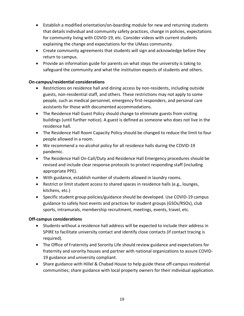- Establish a modified orientation/on-boarding module for new and returning students that details individual and community safety practices, change in policies, expectations for community living with COVID-19, etc. Consider videos with current students explaining the change and expectations for the UMass community.
- Create community agreements that students will sign and acknowledge before they return to campus.
- Provide an information guide for parents on what steps the university is taking to safeguard the community and what the institution expects of students and others.

#### **On-campus/residential considerations**

- Restrictions on residence hall and dining access by non-residents, including outside guests, non-residential staff, and others. These restrictions may not apply to some people, such as medical personnel, emergency first-responders, and personal care assistants for those with documented accommodations.
- The Residence Hall Guest Policy should change to eliminate guests from visiting buildings (until further notice). A guest is defined as someone who does not live in the residence hall.
- The Residence Hall Room Capacity Policy should be changed to reduce the limit to four people allowed in a room.
- We recommend a no-alcohol policy for all residence halls during the COVID-19 pandemic.
- The Residence Hall On-Call/Duty and Residence Hall Emergency procedures should be revised and include clear response protocols to protect responding staff (including appropriate PPE).
- With guidance, establish number of students allowed in laundry rooms.
- Restrict or limit student access to shared spaces in residence halls (e.g., lounges, kitchens, etc.)
- Specific student group policies/guidance should be developed. Use COVID-19 campus guidance to safely host events and practices for student groups (GSOs/RSOs), club sports, intramurals, membership recruitment, meetings, events, travel, etc.

#### **Off-campus considerations**

- Students without a residence hall address will be expected to include their address in SPIRE to facilitate university contact and identify close contacts (if contact tracing is required).
- The Office of Fraternity and Sorority Life should review guidance and expectations for fraternity and sorority houses and partner with national organizations to assure COVID-19 guidance and university compliant.
- Share guidance with Hillel & Chabad House to help guide these off-campus residential communities; share guidance with local property owners for their individual application.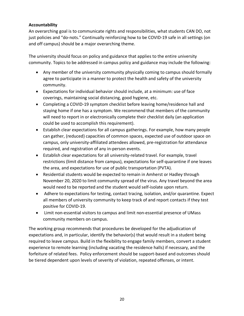#### **Accountability**

An overarching goal is to communicate rights and responsibilities, what students CAN DO, not just policies and "do-nots." Continually reinforcing how to be COVID-19 safe in all settings (on and off campus) should be a major overarching theme.

The university should focus on policy and guidance that applies to the entire university community. Topics to be addressed in campus policy and guidance may include the following:

- Any member of the university community physically coming to campus should formally agree to participate in a manner to protect the health and safety of the university community.
- Expectations for individual behavior should include, at a minimum: use of face coverings, maintaining social distancing, good hygiene, etc.
- Completing a COVID-19 symptom checklist before leaving home/residence hall and staying home if one has a symptom. We recommend that members of the community will need to report in or electronically complete their checklist daily (an application could be used to accomplish this requirement).
- Establish clear expectations for all campus gatherings. For example, how many people can gather, (reduced) capacities of common spaces, expected use of outdoor space on campus, only university-affiliated attendees allowed, pre-registration for attendance required, and registration of any in-person events.
- Establish clear expectations for all university-related travel. For example, travel restrictions (limit distance from campus), expectations for self-quarantine if one leaves the area, and expectations for use of public transportation (PVTA).
- Residential students would be expected to remain in Amherst or Hadley through November 20, 2020 to limit community spread of the virus. Any travel beyond the area would need to be reported and the student would self-isolate upon return.
- Adhere to expectations for testing, contact tracing, isolation, and/or quarantine. Expect all members of university community to keep track of and report contacts if they test positive for COVID-19.
- Limit non-essential visitors to campus and limit non-essential presence of UMass community members on campus.

The working group recommends that procedures be developed for the adjudication of expectations and, in particular, identify the behavior(s) that would result in a student being required to leave campus. Build in the flexibility to engage family members, convert a student experience to remote learning (including vacating the residence halls) if necessary, and the forfeiture of related fees. Policy enforcement should be support-based and outcomes should be tiered dependent upon levels of severity of violation, repeated offenses, or intent.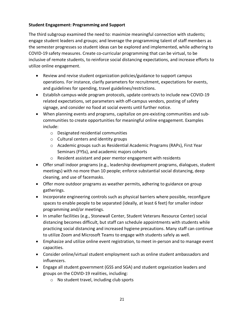#### **Student Engagement: Programming and Support**

The third subgroup examined the need to: maximize meaningful connection with students; engage student leaders and groups; and leverage the programming talent of staff members as the semester progresses so student ideas can be explored and implemented, while adhering to COVID-19 safety measures. Create co-curricular programming that can be virtual, to be inclusive of remote students, to reinforce social distancing expectations, and increase efforts to utilize online engagement.

- Review and revise student organization policies/guidance to support campus operations. For instance, clarify parameters for recruitment, expectations for events, and guidelines for spending, travel guidelines/restrictions.
- Establish campus-wide program protocols, update contracts to include new COVID-19 related expectations, set parameters with off-campus vendors, posting of safety signage, and consider no food at social events until further notice.
- When planning events and programs, capitalize on pre-existing communities and subcommunities to create opportunities for meaningful online engagement. Examples include:
	- o Designated residential communities
	- o Cultural centers and identity groups
	- o Academic groups such as Residential Academic Programs (RAPs), First Year Seminars (FYSs), and academic majors cohorts
	- o Resident assistant and peer mentor engagement with residents
- Offer small indoor programs (e.g., leadership development programs, dialogues, student meetings) with no more than 10 people; enforce substantial social distancing, deep cleaning, and use of facemasks.
- Offer more outdoor programs as weather permits, adhering to guidance on group gatherings.
- Incorporate engineering controls such as physical barriers where possible, reconfigure spaces to enable people to be separated (ideally, at least 6 feet) for smaller indoor programming and/or meetings.
- In smaller facilities (e.g., Stonewall Center, Student Veterans Resource Center) social distancing becomes difficult, but staff can schedule appointments with students while practicing social distancing and increased hygiene precautions. Many staff can continue to utilize Zoom and Microsoft Teams to engage with students safely as well.
- Emphasize and utilize online event registration, to meet in-person and to manage event capacities.
- Consider online/virtual student employment such as online student ambassadors and influencers.
- Engage all student government (GSS and SGA) and student organization leaders and groups on the COVID-19 realities, including:
	- o No student travel, including club sports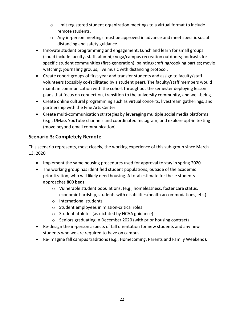- $\circ$  Limit registered student organization meetings to a virtual format to include remote students.
- o Any in-person meetings must be approved in advance and meet specific social distancing and safety guidance.
- Innovate student programming and engagement: Lunch and learn for small groups (could include faculty, staff, alumni); yoga/campus recreation outdoors; podcasts for specific student communities (first-generation); painting/crafting/cooking parties; movie watching; journaling groups; live music with distancing protocol.
- Create cohort groups of first-year and transfer students and assign to faculty/staff volunteers (possibly co-facilitated by a student peer). The faculty/staff members would maintain communication with the cohort throughout the semester deploying lesson plans that focus on connection, transition to the university community, and well-being.
- Create online cultural programming such as virtual concerts, livestream gatherings, and partnership with the Fine Arts Center.
- Create multi-communication strategies by leveraging multiple social media platforms (e.g., UMass YouTube channels and coordinated Instagram) and explore opt-in texting (move beyond email communication).

#### **Scenario 3: Completely Remote**

This scenario represents, most closely, the working experience of this sub-group since March 13, 2020.

- Implement the same housing procedures used for approval to stay in spring 2020.
- The working group has identified student populations, outside of the academic prioritization, who will likely need housing. A total estimate for these students approaches **800 beds**:
	- o Vulnerable student populations: (e.g., homelessness, foster care status, economic hardship, students with disabilities/health accommodations, etc.)
	- o International students
	- o Student employees in mission-critical roles
	- o Student athletes (as dictated by NCAA guidance)
	- o Seniors graduating in December 2020 (with prior housing contract)
- Re-design the in-person aspects of fall orientation for new students and any new students who we are required to have on campus.
- Re-imagine fall campus traditions (e.g., Homecoming, Parents and Family Weekend).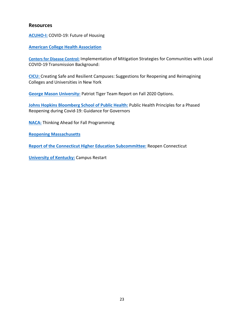#### **Resources**

**ACUHO-I:** COVID-19: Future of Housing

**American College Health Association**

**Centers for Disease Control:** Implementation of Mitigation Strategies for Communities with Local COVID-19 Transmission Background:

**CICU:** Creating Safe and Resilient Campuses: Suggestions for Reopening and Reimagining Colleges and Universities in New York

**George Mason University:** Patriot Tiger Team Report on Fall 2020 Options.

**Johns Hopkins Bloomberg School of Public Health:** Public Health Principles for a Phased Reopening during Covid-19: Guidance for Governors

**NACA:** Thinking Ahead for Fall Programming

**Reopening Massachusetts**

**Report of the Connecticut Higher Education Subcommittee:** Reopen Connecticut

**University of Kentucky:** Campus Restart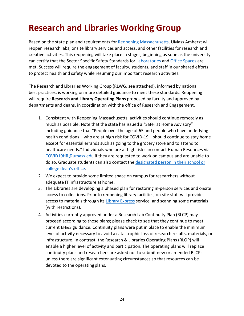# **Research and Libraries Working Group**

Based on the state plan and requirements for Reopening Massachusetts, UMass Amherst will reopen research labs, onsite library services and access, and other facilities for research and creative activities. This reopening will take place in stages, beginning as soon as the university can certify that the Sector Specific Safety Standards for Laboratories and Office Spaces are met. Success will require the engagement of faculty, students, and staff in our shared efforts to protect health and safety while resuming our important research activities.

The Research and Libraries Working Group (RLWG, see attached), informed by national best practices, is working on more detailed guidance to meet these standards. Reopening will require **Research and Library Operating Plans** proposed by faculty and approved by departments and deans, in coordination with the office of Research and Engagement.

- 1. Consistent with Reopening Massachusetts, activities should continue remotely as much as possible. Note that the state has issued a "Safer at Home Advisory" including guidance that "People over the age of 65 and people who have underlying health conditions – who are at high risk for COVID-19 – should continue to stay home except for essential errands such as going to the grocery store and to attend to healthcare needs." Individuals who are at high risk can contact Human Resources via COVID19HR@umass.edu if they are requested to work on campus and are unable to do so. Graduate students can also contact the designated person in their school or college dean's office.
- 2. We expect to provide some limited space on campus for researchers without adequate IT infrastructure at home.
- 3. The Libraries are developing a phased plan for restoring in-person services and onsite access to collections. Prior to reopening library facilities, on-site staff will provide access to materials through its Library Express service, and scanning some materials (with restrictions).
- 4. Activities currently approved under a Research Lab Continuity Plan (RLCP) may proceed according to those plans; please check to see that they continue to meet current EH&S guidance. Continuity plans were put in place to enable the minimum level of activity necessary to avoid a catastrophic loss of research results, materials, or infrastructure. In contrast, the Research & Libraries Operating Plans (RLOP) will enable a higher level of activity and participation. The operating plans will replace continuity plans and researchers are asked not to submit new or amended RLCPs unless there are significant extenuating circumstances so that resources can be devoted to the operatingplans.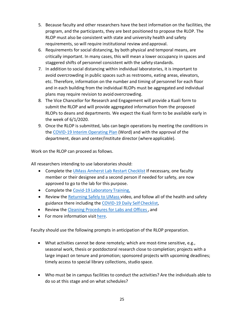- 5. Because faculty and other researchers have the best information on the facilities, the program, and the participants, they are best positioned to propose the RLOP. The RLOP must also be consistent with state and university health and safety requirements, so will require institutional review and approval.
- 6. Requirements for social distancing, by both physical and temporal means, are critically important. In many cases, this will mean a lower occupancy in spaces and staggered shifts of personnel consistent with the safety standards.
- 7. In addition to social distancing within individual laboratories, it is important to avoid overcrowding in public spaces such as restrooms, eating areas, elevators, etc. Therefore, information on the number and timing of personnel for each floor and in each building from the individual RLOPs must be aggregated and individual plans may require revision to avoid overcrowding.
- 8. The Vice Chancellor for Research and Engagement will provide a Kuali form to submit the RLOP and will provide aggregated information from the proposed RLOPs to deans and departments. We expect the Kuali form to be available early in the week of 6/1/2020.
- 9. Once the RLOP is submitted, labs can begin operations by meeting the conditions in the COVID-19 Interim Operating Plan (Word) and with the approval of the department, dean and center/institute director (where applicable).

Work on the RLOP can proceed as follows.

All researchers intending to use laboratories should:

- Complete the UMass Amherst Lab Restart Checklist If necessary, one faculty member or their designee and a second person if needed for safety, are now approved to go to the lab for this purpose.
- Complete the Covid-19 Laboratory Training,
- Review the Returning Safely to UMass video, and follow all of the health and safety guidance there including the COVID-19 Daily Self Checklist,
- Review the Cleaning Procedures for Labs and Offices , and
- For more information visit here.

Faculty should use the following prompts in anticipation of the RLOP preparation.

- What activities cannot be done remotely; which are most-time sensitive, e.g., seasonal work, thesis or postdoctoral research close to completion; projects with a large impact on tenure and promotion; sponsored projects with upcoming deadlines; timely access to special library collections, studio space.
- Who must be in campus facilities to conduct the activities? Are the individuals able to do so at this stage and on what schedules?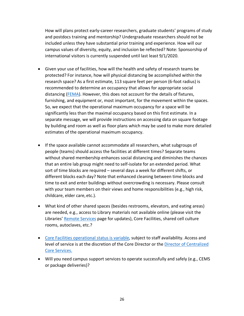How will plans protect early-career researchers, graduate students' programs of study and postdocs training and mentorship? Undergraduate researchers should not be included unless they have substantial prior training and experience. How will our campus values of diversity, equity, and inclusion be reflected? Note: Sponsorship of international visitors is currently suspended until last least 9/1/2020.

- Given your use of facilities, how will the health and safety of research teams be protected? For instance, how will physical distancing be accomplished within the research space? As a first estimate, 113 square feet per person (6-foot radius) is recommended to determine an occupancy that allows for appropriate social distancing (FEMA). However, this does not account for the details of fixtures, furnishing, and equipment or, most important, for the movement within the spaces. So, we expect that the operational maximum occupancy for a space will be significantly less than the maximal occupancy based on this first estimate. In a separate message, we will provide instructions on accessing data on square footage by building and room as well as floor plans which may be used to make more detailed estimates of the operational maximum occupancy.
- If the space available cannot accommodate all researchers, what subgroups of people (teams) should access the facilities at different times? Separate teams without shared membership enhances social distancing and diminishes the chances that an entire lab group might need to self-isolate for an extended period. What sort of time blocks are required – several days a week for different shifts, or different blocks each day? Note that enhanced cleaning between time blocks and time to exit and enter buildings without overcrowding is necessary. Please consult with your team members on their views and home responsibilities (e.g., high risk, childcare, elder care, etc.).
- What kind of other shared spaces (besides restrooms, elevators, and eating areas) are needed, e.g., access to Library materials not available online (please visit the Libraries' Remote Services page for updates), Core Facilities, shared cell culture rooms, autoclaves, etc.?
- Core Facilities operational status is variable, subject to staff availability. Access and level of service is at the discretion of the Core Director or the Director of Centralized Core Services.
- Will you need campus support services to operate successfully and safely (e.g., CEMS or package deliveries)?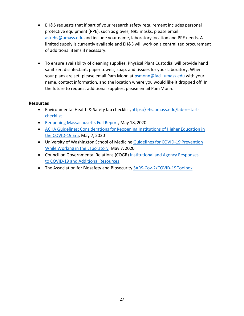- EH&S requests that if part of your research safety requirement includes personal protective equipment (PPE), such as gloves, N95 masks, please email askehs@umass.edu and include your name, laboratory location and PPE needs. A limited supply is currently available and EH&S will work on a centralized procurement of additional items if necessary.
- To ensure availability of cleaning supplies, Physical Plant Custodial will provide hand sanitizer, disinfectant, paper towels, soap, and tissues for your laboratory. When your plans are set, please email Pam Monn at psmonn@facil.umass.edu with your name, contact information, and the location where you would like it dropped off. In the future to request additional supplies, please email Pam Monn.

#### **Resources**

- Environmental Health & Safety lab checklist, https://ehs.umass.edu/lab-restartchecklist
- Reopening Massachusetts Full Report, May 18, 2020
- ACHA Guidelines: Considerations for Reopening Institutions of Higher Education in the COVID-19 Era, May 7, 2020
- University of Washington School of Medicine Guidelines for COVID-19 Prevention While Working in the Laboratory, May 7, 2020
- Council on Governmental Relations (COGR) Institutional and Agency Responses to COVID-19 and Additional Resources
- The Association for Biosafety and Biosecurity SARS-Cov-2/COVID-19 Toolbox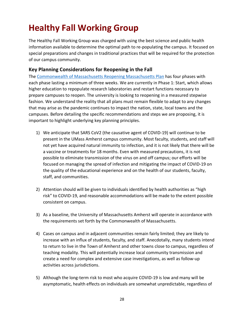# **Healthy Fall Working Group**

The Healthy Fall Working Group was charged with using the best science and public health information available to determine the optimal path to re-populating the campus. It focused on special preparations and changes in traditional practices that will be required for the protection of our campus community.

#### **Key Planning Considerations for Reopening in the Fall**

The Commonwealth of Massachusetts Reopening Massachusetts Plan has four phases with each phase lasting a minimum of three weeks. We are currently in Phase 1: Start, which allows higher education to repopulate research laboratories and restart functions necessary to prepare campuses to reopen. The university is looking to reopening in a measured stepwise fashion. We understand the reality that all plans must remain flexible to adapt to any changes that may arise as the pandemic continues to impact the nation, state, local towns and the campuses. Before detailing the specific recommendations and steps we are proposing, it is important to highlight underlying key planning principles.

- 1) We anticipate that SARS CoV2 (the causative agent of COVID-19) will continue to be present in the UMass Amherst campus community. Most faculty, students, and staff will not yet have acquired natural immunity to infection, and it is not likely that there will be a vaccine or treatments for 18 months. Even with measured precautions, it is not possible to eliminate transmission of the virus on and off campus; our efforts will be focused on managing the spread of infection and mitigating the impact of COVID-19 on the quality of the educational experience and on the health of our students, faculty, staff, and communities.
- 2) Attention should will be given to individuals identified by health authorities as "high risk" to COVID-19, and reasonable accommodations will be made to the extent possible consistent on campus.
- 3) As a baseline, the University of Massachusetts Amherst will operate in accordance with the requirements set forth by the Commonwealth of Massachusetts.
- 4) Cases on campus and in adjacent communities remain fairly limited; they are likely to increase with an influx of students, faculty, and staff. Anecdotally, many students intend to return to live in the Town of Amherst and other towns close to campus, regardless of teaching modality. This will potentially increase local community transmission and create a need for complex and extensive case investigations, as well as follow-up activities across jurisdictions.
- 5) Although the long-term risk to most who acquire COVID-19 is low and many will be asymptomatic, health effects on individuals are somewhat unpredictable, regardless of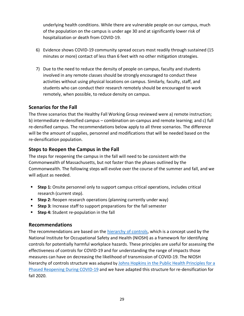underlying health conditions. While there are vulnerable people on our campus, much of the population on the campus is under age 30 and at significantly lower risk of hospitalization or death from COVID-19.

- 6) Evidence shows COVID-19 community spread occurs most readily through sustained (15 minutes or more) contact of less than 6 feet with no other mitigation strategies.
- 7) Due to the need to reduce the density of people on campus, faculty and students involved in any remote classes should be strongly encouraged to conduct these activities without using physical locations on campus. Similarly, faculty, staff, and students who can conduct their research remotely should be encouraged to work remotely, when possible, to reduce density on campus.

#### **Scenarios for the Fall**

The three scenarios that the Healthy Fall Working Group reviewed were a) remote instruction; b) intermediate re-densified campus – combination on-campus and remote learning; and c) full re-densified campus. The recommendations below apply to all three scenarios. The difference will be the amount of supplies, personnel and modifications that will be needed based on the re-densification population.

#### **Steps to Reopen the Campus in the Fall**

The steps for reopening the campus in the fall will need to be consistent with the Commonwealth of Massachusetts, but not faster than the phases outlined by the Commonwealth. The following steps will evolve over the course of the summer and fall, and we will adjust as needed.

- Step 1: Onsite personnel only to support campus critical operations, includes critical research (current step).
- **Step 2:** Reopen research operations (planning currently under way)
- **EXTED 3:** Increase staff to support preparations for the fall semester
- **Step 4:** Student re-population in the fall

#### **Recommendations**

The recommendations are based on the hierarchy of controls, which is a concept used by the National Institute for Occupational Safety and Health (NIOSH) as a framework for identifying controls for potentially harmful workplace hazards. These principles are useful for assessing the effectiveness of controls for COVID-19 and for understanding the range of impacts those measures can have on decreasing the likelihood of transmission of COVID-19. The NIOSH hierarchy of controls structure was adapted by Johns Hopkins in the Public Health Principles for a Phased Reopening During COVID-19 and we have adapted this structure for re-densification for fall 2020.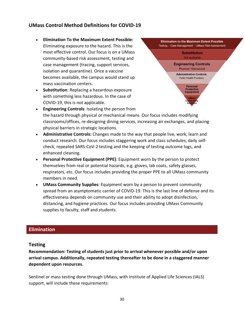#### **UMass Control Method Definitions for COVID-19**

- **Elimination To the Maximum Extent Possible:**  Eliminating exposure to the hazard. This is the most effective control. Our focus is on a UMass community-based risk assessment, testing and case management (tracing, support services, isolation and quarantine). Once a vaccine becomes available, the campus would stand up mass vaccination centers.
- **Substitution**: Replacing a hazardous exposure with something less hazardous. In the case of COVID-19, this is not applicable.



- **Engineering Controls**: Isolating the person from the hazard through physical or mechanical means. Our focus includes modifying classrooms/offices, re-designing dining services, increasing air exchanges, and placing physical barriers in strategic locations.
- **Administrative Controls:** Changes made to the way that people live, work, learn and conduct research. Our focus includes staggering work and class schedules, daily selfcheck, repeated SARS-CoV-2 testing and the keeping of testing outcome logs, and enhanced cleaning.
- **Personal Protective Equipment (PPE)**: Equipment worn by the person to protect themselves from real or potential hazards, e.g. gloves, lab coats, safety glasses, respirators, etc. Our focus includes providing the proper PPE to all UMass community members in need.
- **UMass Community Supplies**: Equipment worn by a person to prevent community spread from an asymptomatic carrier of COVID-19. This is the last line of defense and its effectiveness depends on community use and their ability to adopt disinfection, distancing, and hygiene practices. Our focus includes providing UMass Community supplies to faculty, staff and students.

#### **Elimination**

#### **Testing**

**Recommendation: Testing of students just prior to arrival whenever possible and/or upon arrival campus. Additionally, repeated testing thereafter to be done in a staggered manner dependent upon resources.** 

Sentinel or mass testing done through UMass, with Institute of Applied Life Sciences (IALS) support, will include these requirements: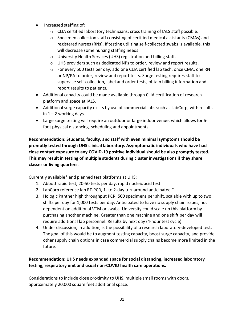- Increased staffing of:
	- o CLIA certified laboratory technicians; cross training of IALS staff possible.
	- $\circ$  Specimen collection staff consisting of certified medical assistants (CMAs) and registered nurses (RNs). If testing utilizing self-collected swabs is available, this will decrease some nursing staffing needs.
	- o University Health Services (UHS) registration and billing staff.
	- o UHS providers such as dedicated NPs to order, review and report results.
	- o For every 500 tests per day, add one CLIA certified lab tech, once CMA, one RN or NP/PA to order, review and report tests. Surge testing requires staff to supervise self-collection, label and order tests, obtain billing information and report results to patients.
- Additional capacity could be made available through CLIA certification of research platform and space at IALS.
- Additional surge capacity exists by use of commercial labs such as LabCorp, with results in  $1 - 2$  working days.
- Large surge testing will require an outdoor or large indoor venue, which allows for 6 foot physical distancing, scheduling and appointments.

**Recommendation: Students, faculty, and staff with even minimal symptoms should be promptly tested through UHS clinical laboratory. Asymptomatic individuals who have had close contact exposure to any COVID-19 positive individual should be also promptly tested. This may result in testing of multiple students during cluster investigations if they share classes or living quarters.**

Currently available\* and planned test platforms at UHS:

- 1. Abbott rapid test, 20-50 tests per day, rapid nucleic acid test.
- 2. LabCorp reference lab RT-PCR, 1- to 2-day turnaround anticipated.\*
- 3. Hologic Panther high throughput PCR, 500 specimens per shift, scalable with up to two shifts per day for 1,000 tests per day. Anticipated to have no supply chain issues, not dependent on additional VTM or swabs. University could scale up this platform by purchasing another machine. Greater than one machine and one shift per day will require additional lab personnel. Results by next day (4-hour test cycle).
- 4. Under discussion, in addition, is the possibility of a research laboratory-developed test. The goal of this would be to augment testing capacity, boost surge capacity, and provide other supply chain options in case commercial supply chains become more limited in the future.

#### **Recommendation: UHS needs expanded space for social distancing, increased laboratory testing, respiratory unit and usual non-COVID health care operations.**

Considerations to include close proximity to UHS, multiple small rooms with doors, approximately 20,000 square feet additional space.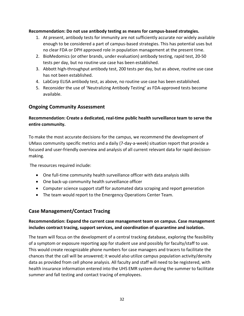#### **Recommendation: Do not use antibody testing as means for campus-based strategies.**

- 1. At present, antibody tests for immunity are not sufficiently accurate nor widely available enough to be considered a part of campus-based strategies. This has potential uses but no clear FDA or DPH approved role in population management at the present time.
- 2. BioMedomics (or other brands, under evaluation) antibody testing, rapid test, 20-50 tests per day, but no routine use case has been established.
- 3. Abbott high-throughput antibody test, 200 tests per day, but as above, routine use case has not been established.
- 4. LabCorp ELISA antibody test, as above, no routine use case has been established.
- 5. Reconsider the use of 'Neutralizing Antibody Testing' as FDA-approved tests become available.

#### **Ongoing Community Assessment**

#### **Recommendation: Create a dedicated, real-time public health surveillance team to serve the entire community.**

To make the most accurate decisions for the campus, we recommend the development of UMass community specific metrics and a daily (7-day-a-week) situation report that provide a focused and user-friendly overview and analysis of all current relevant data for rapid decisionmaking.

The resources required include:

- One full-time community health surveillance officer with data analysis skills
- One back-up community health surveillance officer
- Computer science support staff for automated data scraping and report generation
- The team would report to the Emergency Operations Center Team.

#### **Case Management/Contact Tracing**

#### **Recommendation: Expand the current case management team on campus. Case management includes contract tracing, support services, and coordination of quarantine and isolation.**

The team will focus on the development of a central tracking database, exploring the feasibility of a symptom or exposure reporting app for student use and possibly for faculty/staff to use. This would create recognizable phone numbers for case managers and tracers to facilitate the chances that the call will be answered; it would also utilize campus population activity/density data as provided from cell phone analysis. All faculty and staff will need to be registered, with health insurance information entered into the UHS EMR system during the summer to facilitate summer and fall testing and contact tracing of employees.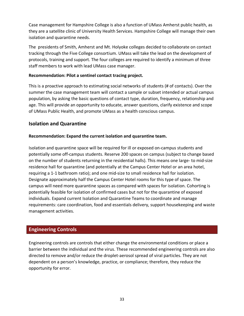Case management for Hampshire College is also a function of UMass Amherst public health, as they are a satellite clinic of University Health Services. Hampshire College will manage their own isolation and quarantine needs.

The presidents of Smith, Amherst and Mt. Holyoke colleges decided to collaborate on contact tracking through the Five College consortium. UMass will take the lead on the development of protocols, training and support. The four colleges are required to identify a minimum of three staff members to work with lead UMass case manager.

#### **Recommendation: Pilot a sentinel contact tracing project.**

This is a proactive approach to estimating social networks of students (# of contacts). Over the summer the case management team will contact a sample or subset intended or actual campus population, by asking the basic questions of contact type, duration, frequency, relationship and age. This will provide an opportunity to educate, answer questions, clarify existence and scope of UMass Public Health, and promote UMass as a health conscious campus.

#### **Isolation and Quarantine**

#### **Recommendation: Expand the current isolation and quarantine team.**

Isolation and quarantine space will be required for ill or exposed on-campus students and potentially some off-campus students. Reserve 200 spaces on campus (subject to change based on the number of students returning in the residential halls). This means one large- to mid-size residence hall for quarantine (and potentially at the Campus Center Hotel or an area hotel, requiring a 1-1 bathroom ratio); and one mid-size to small residence hall for isolation. Designate approximately half the Campus Center Hotel rooms for this type of space. The campus will need more quarantine spaces as compared with spaces for isolation. Cohorting is potentially feasible for isolation of confirmed cases but not for the quarantine of exposed individuals. Expand current Isolation and Quarantine Teams to coordinate and manage requirements: care coordination, food and essentials delivery, support housekeeping and waste management activities.

#### **Engineering Controls**

Engineering controls are controls that either change the environmental conditions or place a barrier between the individual and the virus. These recommended engineering controls are also directed to remove and/or reduce the droplet-aerosol spread of viral particles. They are not dependent on a person's knowledge, practice, or compliance; therefore, they reduce the opportunity for error.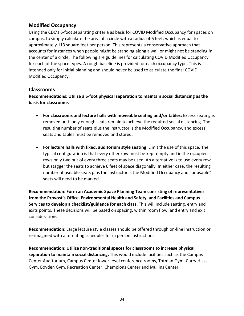#### **Modified Occupancy**

Using the CDC's 6-foot separating criteria as basis for COVID Modified Occupancy for spaces on campus, to simply calculate the area of a circle with a radius of 6 feet, which is equal to approximately 113 square feet per person. This represents a conservative approach that accounts for instances when people might be standing along a wall or might not be standing in the center of a circle. The following are guidelines for calculating COVID Modified Occupancy for each of the space types. A rough baseline is provided for each occupancy type. This is intended only for initial planning and should never be used to calculate the final COVID Modified Occupancy.

#### **Classrooms**

**Recommendations: Utilize a 6-foot physical separation to maintain social distancing as the basis for classrooms** 

- **For classrooms and lecture halls with moveable seating and/or tables:** Excess seating is removed until only enough seats remain to achieve the required social distancing. The resulting number of seats plus the instructor is the Modified Occupancy, and excess seats and tables must be removed and stored.
- **For lecture halls with fixed, auditorium style seating**: Limit the use of this space. The typical configuration is that every other row must be kept empty and in the occupied rows only two out of every three seats may be used. An alternative is to use every row but stagger the seats to achieve 6 feet of space diagonally. In either case, the resulting number of useable seats plus the instructor is the Modified Occupancy and "unusable" seats will need to be marked.

**Recommendation: Form an Academic Space Planning Team consisting of representatives from the Provost's Office, Environmental Health and Safety, and Facilities and Campus Services to develop a checklist/guidance for each class.** This will include seating, entry and exits points. These decisions will be based on spacing, within room flow, and entry and exit considerations.

**Recommendation:** Large lecture style classes should be offered through on-line instruction or re-imagined with alternating schedules for in person instructions.

**Recommendation: Utilize non-traditional spaces for classrooms to increase physical separation to maintain social distancing.** This would include facilities such as the Campus Center Auditorium, Campus Center lower-level conference rooms, Totman Gym, Curry Hicks Gym, Boyden Gym, Recreation Center, Champions Center and Mullins Center.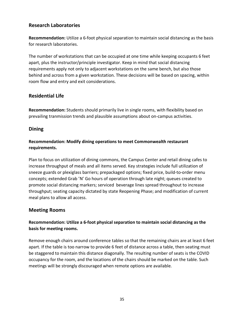#### **Research Laboratories**

**Recommendation:** Utilize a 6-foot physical separation to maintain social distancing as the basis for research laboratories.

The number of workstations that can be occupied at one time while keeping occupants 6 feet apart, plus the instructor/principle investigator. Keep in mind that social distancing requirements apply not only to adjacent workstations on the same bench, but also those behind and across from a given workstation. These decisions will be based on spacing, within room flow and entry and exit considerations.

#### **Residential Life**

**Recommendation:** Students should primarily live in single rooms, with flexibility based on prevailing tranmission trends and plausible assumptions about on-campus activities.

#### **Dining**

#### **Recommendation: Modify dining operations to meet Commonwealth restaurant requirements.**

Plan to focus on utilization of dining commons, the Campus Center and retail dining cafes to increase throughput of meals and all items served. Key strategies include full utilization of sneeze guards or plexiglass barriers; prepackaged options; fixed price, build-to-order menu concepts; extended Grab 'N' Go hours of operation through late night; queues created to promote social distancing markers; serviced beverage lines spread throughout to increase throughput; seating capacity dictated by state Reopening Phase; and modification of current meal plans to allow all access.

#### **Meeting Rooms**

#### **Recommendation: Utilize a 6-foot physical separation to maintain social distancing as the basis for meeting rooms.**

Remove enough chairs around conference tables so that the remaining chairs are at least 6 feet apart. If the table is too narrow to provide 6 feet of distance across a table, then seating must be staggered to maintain this distance diagonally. The resulting number of seats is the COVID occupancy for the room, and the locations of the chairs should be marked on the table. Such meetings will be strongly discouraged when remote options are available.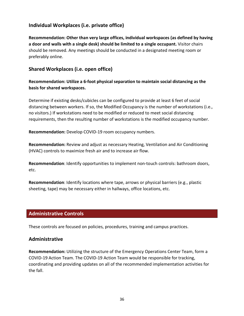#### **Individual Workplaces (i.e. private office)**

**Recommendation: Other than very large offices, individual workspaces (as defined by having a door and walls with a single desk) should be limited to a single occupant.** Visitor chairs should be removed. Any meetings should be conducted in a designated meeting room or preferably online.

#### **Shared Workplaces (i.e. open office)**

**Recommendation: Utilize a 6-foot physical separation to maintain social distancing as the basis for shared workspaces.**

Determine if existing desks/cubicles can be configured to provide at least 6 feet of social distancing between workers. If so, the Modified Occupancy is the number of workstations (i.e., no visitors.) If workstations need to be modified or reduced to meet social distancing requirements, then the resulting number of workstations is the modified occupancy number.

**Recommendation:** Develop COVID-19 room occupancy numbers.

**Recommendation:** Review and adjust as necessary Heating, Ventilation and Air Conditioning (HVAC) controls to maximize fresh air and to increase air flow.

**Recommendation**: Identify opportunities to implement non-touch controls: bathroom doors, etc.

**Recommendation**: Identify locations where tape, arrows or physical barriers (e.g., plastic sheeting, tape) may be necessary either in hallways, office locations, etc.

#### **Administrative Controls**

These controls are focused on policies, procedures, training and campus practices.

#### **Administrative**

**Recommendation:** Utilizing the structure of the Emergency Operations Center Team, form a COVID-19 Action Team. The COVID-19 Action Team would be responsible for tracking, coordinating and providing updates on all of the recommended implementation activities for the fall.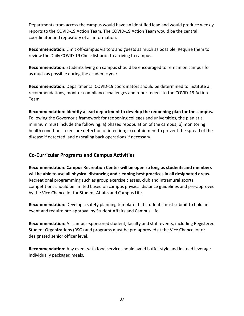Departments from across the campus would have an identified lead and would produce weekly reports to the COVID-19 Action Team. The COVID-19 Action Team would be the central coordinator and repository of all information.

**Recommendation:** Limit off-campus visitors and guests as much as possible. Require them to review the Daily COVID-19 Checklist prior to arriving to campus.

**Recommendation:** Students living on campus should be encouraged to remain on campus for as much as possible during the academic year.

**Recommendation:** Departmental COVID-19 coordinators should be determined to institute all recommendations, monitor compliance challenges and report needs to the COVID-19 Action Team.

**Recommendation: Identify a lead department to develop the reopening plan for the campus.**  Following the Governor's framework for reopening colleges and universities, the plan at a minimum must include the following: a) phased repopulation of the campus; b) monitoring health conditions to ensure detection of infection; c) containment to prevent the spread of the disease if detected; and d) scaling back operations if necessary.

#### **Co-Curricular Programs and Campus Activities**

**Recommendation: Campus Recreation Center will be open so long as students and members will be able to use all physical distancing and cleaning best practices in all designated areas.**  Recreational programming such as group exercise classes, club and intramural sports competitions should be limited based on campus physical distance guidelines and pre-approved by the Vice Chancellor for Student Affairs and Campus Life.

**Recommendation:** Develop a safety planning template that students must submit to hold an event and require pre-approval by Student Affairs and Campus Life.

**Recommendation:** All campus-sponsored student, faculty and staff events, including Registered Student Organizations (RSO) and programs must be pre-approved at the Vice Chancellor or designated senior officer level.

**Recommendation:** Any event with food service should avoid buffet style and instead leverage individually packaged meals.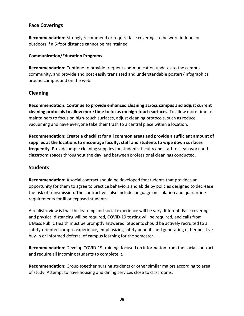#### **Face Coverings**

**Recommendation:** Strongly recommend or require face coverings to be worn indoors or outdoors if a 6-foot distance cannot be maintained

#### **Communication/Education Programs**

**Recommendation:** Continue to provide frequent communication updates to the campus community, and provide and post easily translated and understandable posters/infographics around campus and on the web.

#### **Cleaning**

**Recommendation: Continue to provide enhanced cleaning across campus and adjust current cleaning protocols to allow more time to focus on high-touch surfaces.** To allow more time for maintainers to focus on high-touch surfaces, adjust cleaning protocols, such as reduce vacuuming and have everyone take their trash to a central place within a location.

**Recommendation: Create a checklist for all common areas and provide a sufficient amount of supplies at the locations to encourage faculty, staff and students to wipe down surfaces frequently.** Provide ample cleaning supplies for students, faculty and staff to clean work and classroom spaces throughout the day, and between professional cleanings conducted.

#### **Students**

**Recommendation:** A social contract should be developed for students that provides an opportunity for them to agree to practice behaviors and abide by policies designed to decrease the risk of transmission. The contract will also include language on isolation and quarantine requirements for ill or exposed students.

A realistic view is that the learning and social experience will be very different. Face coverings and physical distancing will be required, COVID-19 testing will be required, and calls from UMass Public Health must be promptly answered. Students should be actively recruited to a safety-oriented campus experience, emphasizing safety benefits and generating either positive buy-in or informed deferral of campus learning for the semester.

**Recommendation:** Develop COVID-19 training, focused on information from the social contract and require all incoming students to complete it.

**Recommendation:** Group together nursing students or other similar majors according to area of study. Attempt to have housing and dining services close to classrooms.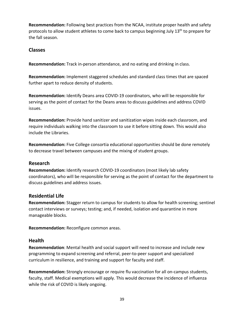**Recommendation:** Following best practices from the NCAA, institute proper health and safety protocols to allow student athletes to come back to campus beginning July  $13<sup>th</sup>$  to prepare for the fall season.

#### **Classes**

**Recommendation:** Track in-person attendance, and no eating and drinking in class.

**Recommendation:** Implement staggered schedules and standard class times that are spaced further apart to reduce density of students.

**Recommendation:** Identify Deans area COVID-19 coordinators, who will be responsible for serving as the point of contact for the Deans areas to discuss guidelines and address COVID issues.

**Recommendation:** Provide hand sanitizer and sanitization wipes inside each classroom, and require individuals walking into the classroom to use it before sitting down. This would also include the Libraries.

**Recommendation:** Five College consortia educational opportunities should be done remotely to decrease travel between campuses and the mixing of student groups.

#### **Research**

**Recommendation:** Identify research COVID-19 coordinators (most likely lab safety coordinators), who will be responsible for serving as the point of contact for the department to discuss guidelines and address issues.

#### **Residential Life**

**Recommendation:** Stagger return to campus for students to allow for health screening; sentinel contact interviews or surveys; testing; and, if needed, isolation and quarantine in more manageable blocks.

**Recommendation:** Reconfigure common areas.

#### **Health**

**Recommendation**: Mental health and social support will need to increase and include new programming to expand screening and referral, peer-to-peer support and specialized curriculum in resilience, and training and support for faculty and staff.

**Recommendation:** Strongly encourage or require flu vaccination for all on-campus students, faculty, staff. Medical exemptions will apply. This would decrease the incidence of influenza while the risk of COVID is likely ongoing.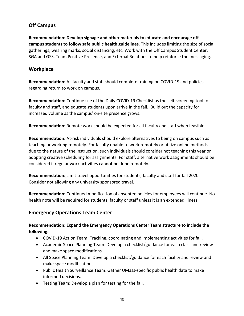#### **Off Campus**

**Recommendation: Develop signage and other materials to educate and encourage offcampus students to follow safe public health guidelines**. This includes limiting the size of social gatherings, wearing marks, social distancing, etc. Work with the Off Campus Student Center, SGA and GSS, Team Positive Presence, and External Relations to help reinforce the messaging.

#### **Workplace**

**Recommendation:** All faculty and staff should complete training on COVID-19 and policies regarding return to work on campus.

**Recommendation:** Continue use of the Daily COVID-19 Checklist as the self-screening tool for faculty and staff, and educate students upon arrive in the fall. Build out the capacity for increased volume as the campus' on-site presence grows.

**Recommendation:** Remote work should be expected for all faculty and staff when feasible.

**Recommendation:** At-risk individuals should explore alternatives to being on campus such as teaching or working remotely. For faculty unable to work remotely or utilize online methods due to the nature of the instruction, such individuals should consider not teaching this year or adopting creative scheduling for assignments. For staff, alternative work assignments should be considered if regular work activities cannot be done remotely.

**Recommendation:** Limit travel opportunities for students, faculty and staff for fall 2020. Consider not allowing any university sponsored travel.

**Recommendation:** Continued modification of absentee policies for employees will continue. No health note will be required for students, faculty or staff unless it is an extended illness.

#### **Emergency Operations Team Center**

#### **Recommendation: Expand the Emergency Operations Center Team structure to include the following:**

- COVID-19 Action Team: Tracking, coordinating and implementing activities for fall.
- Academic Space Planning Team: Develop a checklist/guidance for each class and review and make space modifications.
- All Space Planning Team: Develop a checklist/guidance for each facility and review and make space modifications.
- Public Health Surveillance Team: Gather UMass-specific public health data to make informed decisions.
- Testing Team: Develop a plan for testing for the fall.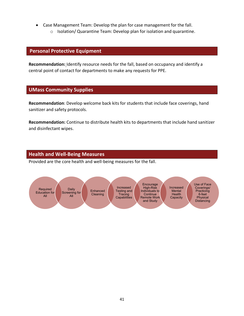- Case Management Team: Develop the plan for case management for the fall.
	- o Isolation/ Quarantine Team: Develop plan for isolation and quarantine.

#### **Personal Protective Equipment**

**Recommendation:** Identify resource needs for the fall, based on occupancy and identify a central point of contact for departments to make any requests for PPE.

#### **UMass Community Supplies**

**Recommendation**: Develop welcome back kits for students that include face coverings, hand sanitizer and safety protocols.

**Recommendation:** Continue to distribute health kits to departments that include hand sanitizer and disinfectant wipes.

#### **Health and Well-Being Measures**

Provided are the core health and well-being measures for the fall.

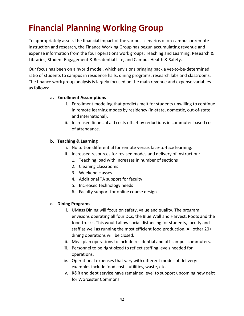# **Financial Planning Working Group**

To appropriately assess the financial impact of the various scenarios of on-campus or remote instruction and research, the Finance Working Group has begun accumulating revenue and expense information from the four operations work groups: Teaching and Learning, Research & Libraries, Student Engagement & Residential Life, and Campus Health & Safety.

Our focus has been on a hybrid model, which envisions bringing back a yet-to-be-determined ratio of students to campus in residence halls, dining programs, research labs and classrooms. The finance work group analysis is largely focused on the main revenue and expense variables as follows:

#### **a. Enrollment Assumptions**

- i. Enrollment modeling that predicts melt for students unwilling to continue in remote learning modes by residency (in-state, domestic, out-of-state and international).
- ii. Increased financial aid costs offset by reductions in commuter-based cost of attendance.

#### **b. Teaching & Learning**

- i. No tuition differential for remote versus face-to-face learning.
- ii. Increased resources for revised modes and delivery of instruction:
	- 1. Teaching load with increases in number of sections
	- 2. Cleaning classrooms
	- 3. Weekend classes
	- 4. Additional TA support for faculty
	- 5. Increased technology needs
	- 6. Faculty support for online course design

#### **c. Dining Programs**

- i. UMass Dining will focus on safety, value and quality. The program envisions operating all four DCs, the Blue Wall and Harvest, Roots and the food trucks. This would allow social distancing for students, faculty and staff as well as running the most efficient food production. All other 20+ dining operations will be closed.
- ii. Meal plan operations to include residential and off-campus commuters.
- iii. Personnel to be right-sized to reflect staffing levels needed for operations.
- iv. Operational expenses that vary with different modes of delivery: examples include food costs, utilities, waste, etc.
- v. R&R and debt service have remained level to support upcoming new debt for Worcester Commons.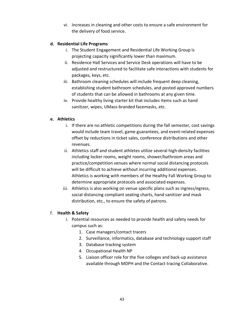vi. Increases in cleaning and other costs to ensure a safe environment for the delivery of food service.

#### **d. Residential Life Programs**

- i. The Student Engagement and Residential Life Working Group is projecting capacity significantly lower than maximum.
- ii. Residence Hall Services and Service Desk operations will have to be adjusted and restructured to facilitate safe interactions with students for packages, keys, etc.
- iii. Bathroom cleaning schedules will include frequent deep cleaning, establishing student bathroom schedules, and posted approved numbers of students that can be allowed in bathrooms at any given time.
- iv. Provide healthy living starter kit that includes items such as hand sanitizer, wipes, UMass-branded facemasks, etc.

#### **e. Athletics**

- i. If there are no athletic competitions during the fall semester, cost savings would include team travel, game guarantees, and event-related expenses offset by reductions in ticket sales, conference distributions and other revenues.
- ii. Athletics staff and student athletes utilize several high-density facilities including locker rooms, weight rooms, shower/bathroom areas and practice/competition venues where normal social distancing protocols will be difficult to achieve without incurring additional expenses. Athletics is working with members of the Healthy Fall Working Group to determine appropriate protocols and associated expenses.
- iii. Athletics is also working on venue specific plans such as ingress/egress, social distancing compliant seating charts, hand sanitizer and mask distribution, etc., to ensure the safety of patrons.

#### f. **Health & Safety**

- i. Potential resources as needed to provide health and safety needs for campus such as:
	- 1. Case managers/contact tracers
	- 2. Surveillance, informatics, database and technology support staff
	- 3. Database tracking system
	- 4. Occupational Health NP
	- 5. Liaison officer role for the five colleges and back-up assistance available through MDPH and the Contact tracing Collaborative.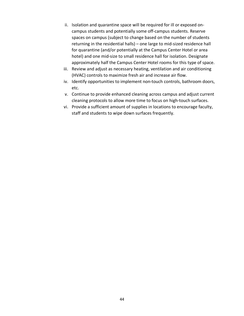- ii. Isolation and quarantine space will be required for ill or exposed oncampus students and potentially some off-campus students. Reserve spaces on campus (subject to change based on the number of students returning in the residential halls) – one large to mid-sized residence hall for quarantine (and/or potentially at the Campus Center Hotel or area hotel) and one mid-size to small residence hall for isolation. Designate approximately half the Campus Center Hotel rooms for this type of space.
- iii. Review and adjust as necessary heating, ventilation and air conditioning (HVAC) controls to maximize fresh air and increase air flow.
- iv. Identify opportunities to implement non-touch controls, bathroom doors, etc.
- v. Continue to provide enhanced cleaning across campus and adjust current cleaning protocols to allow more time to focus on high-touch surfaces.
- vi. Provide a sufficient amount of supplies in locations to encourage faculty, staff and students to wipe down surfaces frequently.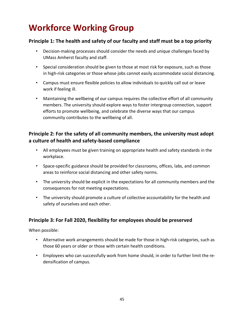# **Workforce Working Group**

#### **Principle 1: The health and safety of our faculty and staff must be a top priority**

- Decision-making processes should consider the needs and unique challenges faced by UMass Amherst faculty and staff.
- Special consideration should be given to those at most risk for exposure, such as those in high-risk categories or those whose jobs cannot easily accommodate social distancing.
- Campus must ensure flexible policies to allow individuals to quickly call out or leave work if feeling ill.
- Maintaining the wellbeing of our campus requires the collective effort of all community members. The university should explore ways to foster intergroup connection, support efforts to promote wellbeing, and celebrate the diverse ways that our campus community contributes to the wellbeing of all.

#### **Principle 2: For the safety of all community members, the university must adopt a culture of health and safety-based compliance**

- All employees must be given training on appropriate health and safety standards in the workplace.
- Space-specific guidance should be provided for classrooms, offices, labs, and common areas to reinforce social distancing and other safety norms.
- The university should be explicit in the expectations for all community members and the consequences for not meeting expectations.
- The university should promote a culture of collective accountability for the health and safety of ourselves and each other.

#### **Principle 3: For Fall 2020, flexibility for employees should be preserved**

When possible:

- Alternative work arrangements should be made for those in high-risk categories, such as those 60 years or older or those with certain health conditions.
- Employees who can successfully work from home should, in order to further limit the redensification of campus.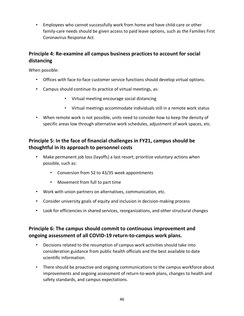• Employees who cannot successfully work from home and have child-care or other family-care needs should be given access to paid leave options, such as the Families First Coronavirus Response Act.

#### **Principle 4: Re-examine all campus business practices to account for social distancing**

When possible:

- Offices with face-to-face customer service functions should develop virtual options.
- Campus should continue its practice of virtual meetings, as:
	- Virtual meeting encourage social distancing
	- Virtual meetings accommodate individuals still in a remote work status
- When remote work is not possible, units need to consider how to keep the density of specific areas low through alternative work schedules, adjustment of work spaces, etc.

#### **Principle 5: In the face of financial challenges in FY21, campus should be thoughtful in its approach to personnel costs**

- Make permanent job loss (layoffs) a last resort; prioritize voluntary actions when possible, such as:
	- Conversion from 52 to 43/35 week appointments
	- Movement from full to part time
- Work with union partners on alternatives, communication, etc.
- Consider university goals of equity and inclusion in decision-making process
- Look for efficiencies in shared services, reorganizations, and other structural changes

#### **Principle 6: The campus should commit to continuous improvement and ongoing assessment of all COVID-19 return-to-campus work plans.**

- Decisions related to the resumption of campus work activities should take into consideration guidance from public health officials and the best available to date scientific information.
- There should be proactive and ongoing communications to the campus workforce about improvements and ongoing assessment of return-to-work plans, changes to health and safety standards, and campus expectations.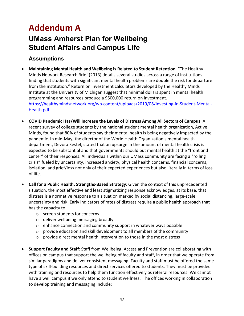# **Addendum A**

## **UMass Amherst Plan for Wellbeing Student Affairs and Campus Life**

### **Assumptions**

- **Maintaining Mental Health and Wellbeing is Related to Student Retention**. "The Healthy Minds Network Research Brief (2013) details several studies across a range of institutions finding that students with significant mental health problems are double the risk for departure from the institution." Return on investment calculators developed by the Healthy Minds Institute at the University of Michigan suggest that minimal dollars spent in mental health programming and resources produce a \$500,000 return on investment. https://healthymindsnetwork.org/wp-content/uploads/2019/08/Investing-in-Student-Mental-Health.pdf
- **COVID Pandemic Has/Will Increase the Levels of Distress Among All Sectors of Campus**. A recent survey of college students by the national student mental health organization, Active Minds, found that 80% of students say their mental health is being negatively impacted by the pandemic. In mid-May, the director of the World Health Organization's mental health department, Devora Kestel, stated that an upsurge in the amount of mental health crisis is expected to be substantial and that governments should put mental health at the "front and center" of their responses. All individuals within our UMass community are facing a "rolling crisis" fueled by uncertainty, increased anxiety, physical health concerns, financial concerns, isolation, and grief/loss not only of their expected experiences but also literally in terms of loss of life.
- **Call for a Public Health, Strengths-Based Strategy**: Given the context of this unprecedented situation, the most effective and least stigmatizing response acknowledges, at its base, that distress is a normative response to a situation marked by social distancing, large-scale uncertainty and risk. Early indicators of rates of distress require a public health approach that has the capacity to:
	- o screen students for concerns
	- o deliver wellbeing messaging broadly
	- $\circ$  enhance connection and community support in whatever ways possible
	- o provide education and skill development to all members of the community
	- o provide direct mental health intervention to those in the most distress
- **Support Faculty and Staff**: Staff from Wellbeing, Access and Prevention are collaborating with offices on campus that support the wellbeing of faculty and staff, in order that we operate from similar paradigms and deliver consistent messaging. Faculty and staff must be offered the same type of skill-building resources and direct services offered to students. They must be provided with training and resources to help them function effectively as referral resources. We cannot have a well campus if we only attend to student wellness. The offices working in collaboration to develop training and messaging include: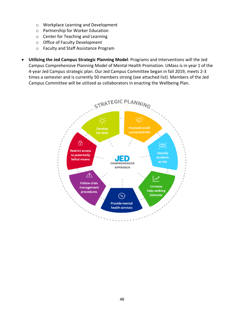- o Workplace Learning and Development
- o Partnership for Worker Education
- o Center for Teaching and Learning
- o Office of Faculty Development
- o Faculty and Staff Assistance Program
- **Utilizing the Jed Campus Strategic Planning Model**: Programs and Interventions will the Jed Campus Comprehensive Planning Model of Mental Health Promotion. UMass is in year 1 of the 4-year Jed Campus strategic plan. Our Jed Campus Committee began in fall 2019, meets 2-3 times a semester and is currently 50 members strong (see attached list). Members of the Jed Campus Committee will be utilized as collaborators in enacting the Wellbeing Plan.

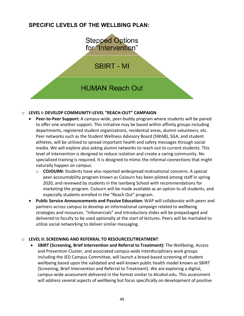### **SPECIFIC LEVELS OF THE WELLBING PLAN:**



#### o **LEVEL I: DEVELOP COMMUNITY-LEVEL "REACH-OUT" CAMPAIGN**

- **Peer-to-Peer Support:** A campus-wide, peer-buddy program where students will be paired to offer one another support. This initiative may be based within affinity groups including departments, registered student organizations, residential areas, alumni volunteers, etc. Peer networks such as the Student Wellness Advisory Board (SWAB), SGA, and student athletes, will be utilized to spread important health and safety messages through social media. We will explore also asking alumni networks to reach out to current students. This level of intervention is designed to reduce isolation and create a caring community. No specialized training is required. It is designed to mimic the informal connections that might naturally happen on campus.
	- o **COJOURN:** Students have also reported widespread motivational concerns. A special peer-accountability program known as CoJourn has been piloted among staff in spring 2020, and reviewed by students in the Isenberg School with recommendations for marketing the program. CoJourn will be made available as an option to all students, and especially students enrolled in the "Reach Out" program.
- **Public Service Announcements and Passive Education:** WAP will collaborate with peers and partners across campus to develop an informational campaign related to wellbeing strategies and resources. "Infomercials" and introductory slides will be prepackaged and delivered to faculty to be used optionally at the start of lectures. Peers will be martialed to utilize social networking to deliver similar messaging.

#### o **LEVEL II: SCREENING AND REFERRAL TO RESOURCES/TREATMENT**:

• **SBIRT (Screening, Brief Intervention and Referral to Treatment):** The Wellbeing, Access and Prevention Cluster, and associated campus-wide interdisciplinary work groups including the JED Campus Committee, will launch a broad-based screening of student wellbeing based upon the validated and well-known public health model known as SBIRT (Screening, Brief Intervention and Referral to Treatment). We are exploring a digital, campus-wide assessment delivered in the format similar to Alcohol.edu. This assessment will address several aspects of wellbeing but focus specifically on development of positive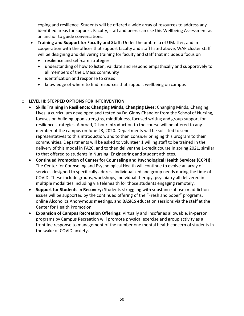coping and resilience. Students will be offered a wide array of resources to address any identified areas for support. Faculty, staff and peers can use this Wellbeing Assessment as an anchor to guide conversations.

- **Training and Support for Faculty and Staff**: Under the umbrella of UMatter, and in cooperation with the offices that support faculty and staff listed above, WAP cluster staff will be designing and delivering training for faculty and staff that includes a focus on
	- resilience and self-care strategies
	- understanding of how to listen, validate and respond empathically and supportively to all members of the UMass community
	- identification and response to crises
	- knowledge of where to find resources that support wellbeing on campus

#### o **LEVEL III: STEPPED OPTIONS FOR INTERVENTION**

- **Skills Training in Resilience: Changing Minds, Changing Lives:** Changing Minds, Changing Lives, a curriculum developed and tested by Dr. Ginny Chandler from the School of Nursing, focuses on building upon strengths, mindfulness, focused writing and group support for resilience strategies. A broad, 2-hour introduction to the course will be offered to any member of the campus on June 23, 2020. Departments will be solicited to send representatives to this introduction, and to then consider bringing this program to their communities. Departments will be asked to volunteer 1 willing staff to be trained in the delivery of this model in FA20, and to then deliver the 1-credit course in spring 2021, similar to that offered to students in Nursing, Engineering and student athletes.
- **Continued Promotion of Center for Counseling and Psychological Health Services (CCPH):**  The Center for Counseling and Psychological Health will continue to evolve an array of services designed to specifically address individualized and group needs during the time of COVID. These include groups, workshops, individual therapy, psychiatry all delivered in multiple modalities including via telehealth for those students engaging remotely.
- **Support for Students in Recovery:** Students struggling with substance abuse or addiction issues will be supported by the continued offering of the "Fresh and Sober" programs, online Alcoholics Anonymous meetings, and BASICS education sessions via the staff at the Center for Health Promotion.
- **Expansion of Campus Recreation Offerings:** Virtually and insofar as allowable, in-person programs by Campus Recreation will promote physical exercise and group activity as a frontline response to management of the number one mental health concern of students in the wake of COVID anxiety.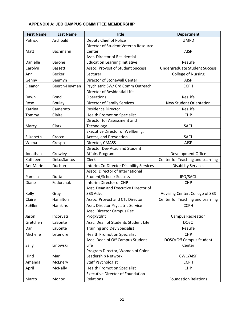#### **APPENDIX A: JED CAMPUS COMMITTEE MEMBERSHIP**

| <b>First Name</b> | <b>Last Name</b> | <b>Title</b>                            | <b>Department</b>                    |
|-------------------|------------------|-----------------------------------------|--------------------------------------|
| Patrick           | Archbald         | Deputy Chief of Police                  | <b>UMPD</b>                          |
|                   |                  | Director of Student Veteran Resource    |                                      |
| Matt              | Bachmann         | Center                                  | <b>AISP</b>                          |
|                   |                  | Asst. Director of Residential           |                                      |
| Danielle          | <b>Barone</b>    | <b>Education Learning Initiative</b>    | ResLife                              |
| Carolyn           | <b>Bassett</b>   | Assoc. Provost of Student Success       | <b>Undergraduate Student Success</b> |
| Ann               | <b>Becker</b>    | Lecturer                                | <b>College of Nursing</b>            |
| Genny             | Beemyn           | Director of Stonewall Center            | <b>AISP</b>                          |
| Eleanor           | Beerch-Heyman    | Psychiatric SW/ Crd Comm Outreach       | <b>CCPH</b>                          |
|                   |                  | Director of Residential Life            |                                      |
| Dawn              | <b>Bond</b>      | Operations                              | ResLife                              |
| Rose              | <b>Boulay</b>    | <b>Director of Family Services</b>      | <b>New Student Orientation</b>       |
| Katrina           | Camerato         | <b>Residence Director</b>               | ResLife                              |
| Tommy             | Claire           | <b>Health Promotion Specialist</b>      | <b>CHP</b>                           |
|                   |                  | Director for Assessment and             |                                      |
| Marcy             | Clark            | Technology                              | <b>SACL</b>                          |
|                   |                  | Executive Director of Wellbeing,        |                                      |
| Elizabeth         | Cracco           | Access, and Prevention                  | SACL                                 |
| Wilma             | Crespo           | Director, CMASS                         | <b>AISP</b>                          |
|                   |                  | Director Dev Acad and Student           |                                      |
| Jonathan          | Crowley          | Affairs Program                         | <b>Development Office</b>            |
| Kathleen          | DeLosSantos      | Clerk                                   | Center for Teaching and Learning     |
| AnnMarie          | Duchon           | Interim Co-Director Disability Services | <b>Disability Services</b>           |
|                   |                  | Assoc. Director of International        |                                      |
| Pamela            | Dutta            | <b>Student/Scholar Success</b>          | <b>IPO/SACL</b>                      |
| Diane             | Fedorchak        | Interim Director of CHP                 | <b>CHP</b>                           |
|                   |                  | Asst. Dean and Executive Director of    |                                      |
| Kelly             | Gray             | SBS Adv.                                | Advising Center, College of SBS      |
| Claire            | Hamilton         | Assoc. Provost and CTL Director         | Center for Teaching and Learning     |
| SuEllen           | Hamkins          | Asst. Director Psyciatric Service       | <b>CCPH</b>                          |
|                   |                  | Assc. Director Campus Rec               |                                      |
| Jason             | Incorvati        | Prog/Stdnt                              | <b>Campus Recreation</b>             |
| Gretchen          | LaBonte          | Assc. Dean of Students Student Life     | <b>DOSO</b>                          |
| Dan               | LaBonte          | <b>Training and Dev Specialist</b>      | ResLife                              |
| Michelle          | Letendre         | <b>Health Promotion Specialist</b>      | <b>CHP</b>                           |
|                   |                  | Assc. Dean of Off Campus Student        | DOSO/Off Campus Student              |
| Sally             | Linowski         | Life                                    | Center                               |
|                   |                  | Program Director, Women of Color        |                                      |
| Hind              | Mari             | Leadership Network                      | CWC/AISP                             |
| Amanda            | McEnery          | <b>Staff Psychologist</b>               | <b>CCPH</b>                          |
| April             | McNally          | <b>Health Promotion Specialist</b>      | <b>CHP</b>                           |
|                   |                  | <b>Executive Director of Foundation</b> |                                      |
| Marco             | Monoc            | Relations                               | <b>Foundation Relations</b>          |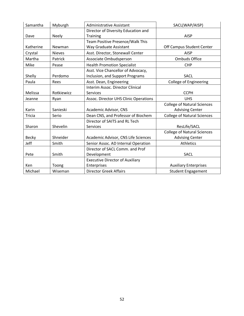| Samantha     | Myburgh       | <b>Administrative Assistant</b>        | SACL(WAP/AISP)                     |
|--------------|---------------|----------------------------------------|------------------------------------|
|              |               | Director of Diversity Education and    |                                    |
| Dave         | <b>Neely</b>  | Training                               | <b>AISP</b>                        |
|              |               | Team Positive Presence/Walk This       |                                    |
| Katherine    | Newman        | Way Graduate Assistant                 | Off Campus Student Center          |
| Crystal      | <b>Nieves</b> | Asst. Director, Stonewall Center       | <b>AISP</b>                        |
| Martha       | Patrick       | Associate Ombudsperson                 | <b>Ombuds Office</b>               |
| Mike         | Pease         | <b>Health Promotion Specialist</b>     | <b>CHP</b>                         |
|              |               | Asst. Vice Chancellor of Advocacy,     |                                    |
| Shelly       | Perdomo       | Inclusion, and Support Programs        | <b>SACL</b>                        |
| Paula        | Rees          | Asst. Dean, Engineering                | <b>College of Engineering</b>      |
|              |               | Interim Assoc. Director Clinical       |                                    |
| Melissa      | Rotkiewicz    | Services                               | <b>CCPH</b>                        |
| Jeanne       | Ryan          | Assoc. Director UHS Clinic Operations  | <b>UHS</b>                         |
|              |               |                                        | <b>College of Natural Sciences</b> |
| Karin        | Sanieski      | Academic Advisor, CNS                  | <b>Advising Center</b>             |
| Tricia       | Serio         | Dean CNS, and Professor of Biochem     | <b>College of Natural Sciences</b> |
|              |               | Director of SAITS and RL Tech          |                                    |
| Sharon       | Shevelin      | Services                               | ResLife/SACL                       |
|              |               |                                        | <b>College of Natural Sciences</b> |
| <b>Becky</b> | Shneider      | Academic Advisor, CNS Life Sciences    | <b>Advising Center</b>             |
| Jeff         | Smith         | Senior Assoc. AD Internal Operation    | <b>Athletics</b>                   |
|              |               | Director of SACL Comm. and Prof        |                                    |
| Pete         | Smith         | Development                            | <b>SACL</b>                        |
|              |               | <b>Executive Director of Auxiliary</b> |                                    |
| Ken          | Toong         | Enterprises                            | <b>Auxiliary Enterprises</b>       |
| Michael      | Wiseman       | <b>Director Greek Affairs</b>          | <b>Student Engagement</b>          |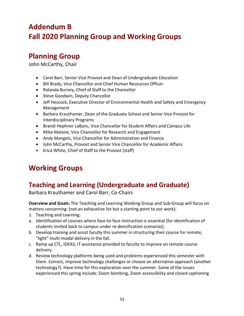# **Addendum B Fall 2020 Planning Group and Working Groups**

### **Planning Group**

John McCarthy, Chair

- Carol Barr, Senior Vice Provost and Dean of Undergraduate Education
- Bill Brady, Vice Chancellor and Chief Human Resources Officer
- Rolanda Burney, Chief of Staff to the Chancellor
- Steve Goodwin, Deputy Chancellor
- Jeff Hescock, Executive Director of Environmental Health and Safety and Emergency Management
- Barbara Krauthamer, Dean of the Graduate School and Senior Vice Provost for Interdisciplinary Programs
- Brandi Hephner LaBanc, Vice Chancellor for Student Affairs and Campus Life
- Mike Malone, Vice Chancellor for Research and Engagement
- Andy Mangels, Vice Chancellor for Administration and Finance
- John McCarthy, Provost and Senior Vice Chancellor for Academic Affairs
- Erica White, Chief of Staff to the Provost (staff)

## **Working Groups**

### **Teaching and Learning (Undergraduate and Graduate)**

Barbara Krauthamer and Carol Barr, Co-Chairs

**Overview and Goals:** The Teaching and Learning Working Group and Sub-Group will focus on matters concerning: (not an exhaustive list but a starting point to our work):

- 1. Teaching and Learning:
- a. Identification of courses where face-to-face instruction is essential (for identification of students invited back to campus under re-densification scenarios).
- b. Develop training and assist faculty this summer in structuring their course for remote, "light" multi-modal delivery in the fall.
- c. Ramp up CTL, IDEAS, IT assistance provided to faculty to improve on remote course delivery.
- d. Review technology platforms being used and problems experienced this semester with them. Correct, improve technology challenges or choose an alternative approach (another technology?). Have time for this exploration over the summer. Some of the issues experienced this spring include: Zoom bombing, Zoom accessibility and closed captioning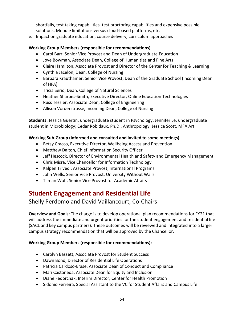shortfalls, test taking capabilities, test proctoring capabilities and expensive possible solutions, Moodle limitations versus cloud-based platforms, etc.

e. Impact on graduate education, course delivery, curriculum approaches

#### **Working Group Members (responsible for recommendations)**

- Carol Barr, Senior Vice Provost and Dean of Undergraduate Education
- Joye Bowman, Associate Dean, College of Humanities and Fine Arts
- Claire Hamilton, Associate Provost and Director of the Center for Teaching & Learning
- Cynthia Jacelon, Dean, College of Nursing
- Barbara Krauthamer, Senior Vice Provost; Dean of the Graduate School (incoming Dean of HFA)
- Tricia Serio, Dean, College of Natural Sciences
- Heather Sharpes-Smith, Executive Director, Online Education Technologies
- Russ Tessier, Associate Dean, College of Engineering
- Allison Vorderstrasse, Incoming Dean, College of Nursing

**Students:** Jessica Guertin, undergraduate student in Psychology; Jennifer Le, undergraduate student in Microbiology; Cedar Robidaux, Ph.D., Anthropology; Jessica Scott, MFA Art

#### **Working Sub-Group (informed and consulted and invited to some meetings)**

- Betsy Cracco, Executive Director, Wellbeing Access and Prevention
- Matthew Dalton, Chief Information Security Officer
- Jeff Hescock, Director of Environmental Health and Safety and Emergency Management
- Chris Misra, Vice Chancellor for Information Technology
- Kalpen Trivedi, Associate Provost, International Programs
- John Wells, Senior Vice Provost, University Without Walls
- Tilman Wolf, Senior Vice Provost for Academic Affairs

### **Student Engagement and Residential Life**

#### Shelly Perdomo and David Vaillancourt, Co-Chairs

**Overview and Goals:** The charge is to develop operational plan recommendations for FY21 that will address the immediate and urgent priorities for the student engagement and residential life (SACL and key campus partners). These outcomes will be reviewed and integrated into a larger campus strategy recommendation that will be approved by the Chancellor.

#### **Working Group Members (responsible for recommendations):**

- Carolyn Bassett, Associate Provost for Student Success
- Dawn Bond, Director of Residential Life Operations
- Patricia Cardoso-Erase, Associate Dean of Conduct and Compliance
- Mari Castañeda, Associate Dean for Equity and Inclusion
- Diane Fedorchak, Interim Director, Center for Health Promotion
- Sidonio Ferreira, Special Assistant to the VC for Student Affairs and Campus Life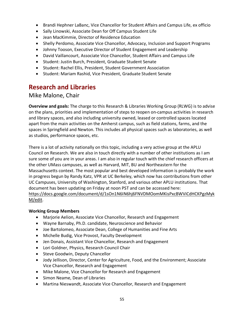- Brandi Hephner LaBanc, Vice Chancellor for Student Affairs and Campus Life, ex officio
- Sally Linowski, Associate Dean for Off Campus Student Life
- Jean MacKimmie, Director of Residence Education
- Shelly Perdomo, Associate Vice Chancellor, Advocacy, Inclusion and Support Programs
- Johnny Tooson, Executive Director of Student Engagement and Leadership
- David Vaillancourt, Associate Vice Chancellor, Student Affairs and Campus Life
- Student: Justin Burch, President, Graduate Student Senate
- Student: Rachel Ellis, President, Student Government Association
- Student: Mariam Rashid, Vice President, Graduate Student Senate

### **Research and Libraries**

#### Mike Malone, Chair

**Overview and goals:** The charge to this Research & Libraries Working Group (RLWG) is to advise on the plans, priorities and implementation of steps to reopen on-campus activities in research and library spaces, and also including university owned, leased or controlled spaces located apart from the main activities on the Amherst campus, such as field stations, farms, and the spaces in Springfield and Newton. This includes all physical spaces such as laboratories, as well as studios, performance spaces, etc.

There is a lot of activity nationally on this topic, including a very active group at the APLU Council on Research. We are also in touch directly with a number of other institutions as I am sure some of you are in your areas. I am also in regular touch with the chief research officers at the other UMass campuses, as well as Harvard, MIT, BU and Northeastern for the Massachusetts context. The most popular and best developed information is probably the work in progress begun by Randy Katz, VPR at UC Berkeley, which now has contributions from other UC Campuses, University of Washington, Stanford, and various other APLU institutions. That document has been updating on Friday at noon PST and can be accessed here: https://docs.google.com/document/d/1sOn1N6IN6hj6FNVDMOomMKisPxcBWViCdHCKPgzMyk M/edit.

#### **Working Group Members**

- Marjorie Aelion, Associate Vice Chancellor, Research and Engagement
- Wayne Barnaby, Ph.D. candidate, Neuroscience and Behavior
- Joe Bartolomeo, Associate Dean, College of Humanities and Fine Arts
- Michelle Budig, Vice Provost, Faculty Development
- Jen Donais, Assistant Vice Chancellor, Research and Engagement
- Lori Goldner, Physics, Research Council Chair
- Steve Goodwin, Deputy Chancellor
- Jody Jellison, Director, Center for Agriculture, Food, and the Environment; Associate Vice Chancellor, Research and Engagement
- Mike Malone, Vice Chancellor for Research and Engagement
- Simon Neame, Dean of Libraries
- Martina Nieswandt, Associate Vice Chancellor, Research and Engagement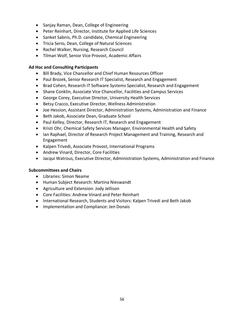- Sanjay Raman, Dean, College of Engineering
- Peter Reinhart, Director, Institute for Applied Life Sciences
- Sanket Sabnis, Ph.D. candidate, Chemical Engineering
- Tricia Serio, Dean, College of Natural Sciences
- Rachel Walker, Nursing, Research Council
- Tilman Wolf, Senior Vice Provost, Academic Affairs

#### **Ad Hoc and Consulting Participants**

- Bill Brady, Vice Chancellor and Chief Human Resources Officer
- Paul Brozek, Senior Research IT Specialist, Research and Engagement
- Brad Cohen, Research IT Software Systems Specialist, Research and Engagement
- Shane Conklin, Associate Vice Chancellor, Facilities and Campus Services
- George Corey, Executive Director, University Health Services
- Betsy Cracco, Executive Director, Wellness Administration
- Joe Hession, Assistant Director, Administration Systems, Administration and Finance
- Beth Jakob, Associate Dean, Graduate School
- Paul Kelley, Director, Research IT, Research and Engagement
- Kristi Ohr, Chemical Safety Services Manager, Environmental Health and Safety
- Ian Raphael, Director of Research Project Management and Training, Research and Engagement
- Kalpen Trivedi, Associate Provost, International Programs
- Andrew Vinard, Director, Core Facilities
- Jacqui Watrous, Executive Director, Administration Systems, Administration and Finance

#### **Subcommittees and Chairs**

- Libraries: Simon Neame
- Human Subject Research: Martina Nieswandt
- Agriculture and Extension: Jody Jellison
- Core Facilities: Andrew Vinard and Peter Reinhart
- International Research, Students and Visitors: Kalpen Trivedi and Beth Jakob
- Implementation and Compliance: Jen Donais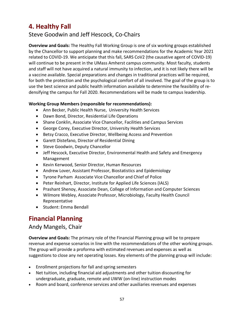### **4. Healthy Fall**

### Steve Goodwin and Jeff Hescock, Co-Chairs

**Overview and Goals:** The Healthy Fall Working Group is one of six working groups established by the Chancellor to support planning and make recommendations for the Academic Year 2021 related to COVID-19. We anticipate that this fall, SARS CoV2 (the causative agent of COVID-19) will continue to be present in the UMass Amherst campus community. Most faculty, students and staff will not have acquired a natural immunity to infection, and it is not likely there will be a vaccine available. Special preparations and changes in traditional practices will be required, for both the protection and the psychological comfort of all involved. The goal of the group is to use the best science and public health information available to determine the feasibility of redensifying the campus for Fall 2020. Recommendations will be made to campus leadership.

#### **Working Group Members (responsible for recommendations):**

- Ann Becker, Public Health Nurse, University Health Services
- Dawn Bond, Director, Residential Life Operations
- Shane Conklin, Associate Vice Chancellor, Facilities and Campus Services
- George Corey, Executive Director, University Health Services
- Betsy Cracco, Executive Director, Wellbeing Access and Prevention
- Garett Distefano, Director of Residential Dining
- Steve Goodwin, Deputy Chancellor
- Jeff Hescock, Executive Director, Environmental Health and Safety and Emergency Management
- Kevin Kerwood, Senior Director, Human Resources
- Andrew Lover, Assistant Professor, Biostatistics and Epidemiology
- Tyrone Parham Associate Vice Chancellor and Chief of Police
- Peter Reinhart, Director, Institute for Applied Life Sciences (IALS)
- Prashant Shenoy, Associate Dean, College of Information and Computer Sciences
- Wilmore Webley, Associate Professor, Microbiology, Faculty Health Council Representative
- Student: Emma Bendall

### **Financial Planning**

#### Andy Mangels, Chair

**Overview and Goals:** The primary role of the Financial Planning group will be to prepare revenue and expense scenarios in line with the recommendations of the other working groups. The group will provide a proforma with estimated revenues and expenses as well as suggestions to close any net operating losses. Key elements of the planning group will include:

- Enrollment projections for fall and spring semesters
- Net tuition, including financial aid adjustments and other tuition discounting for undergraduate, graduate, remote and UWW (on-line) instruction modes
- Room and board, conference services and other auxiliaries revenues and expenses